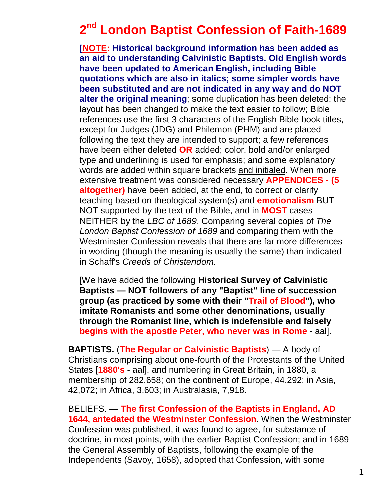# **2 nd London Baptist Confession of Faith-1689**

**[NOTE: Historical background information has been added as an aid to understanding Calvinistic Baptists. Old English words have been updated to American English, including Bible quotations which are also in italics; some simpler words have been substituted and are not indicated in any way and do NOT alter the original meaning**; some duplication has been deleted; the layout has been changed to make the text easier to follow; Bible references use the first 3 characters of the English Bible book titles, except for Judges (JDG) and Philemon (PHM) and are placed following the text they are intended to support; a few references have been either deleted **OR** added; color, bold and/or enlarged type and underlining is used for emphasis; and some explanatory words are added within square brackets and initialed. When more extensive treatment was considered necessary **APPENDICES - (5 altogether)** have been added, at the end, to correct or clarify teaching based on theological system(s) and **emotionalism** BUT NOT supported by the text of the Bible, and in **MOST** cases NEITHER by the *LBC of 1689*. Comparing several copies of *The London Baptist Confession of 1689* and comparing them with the Westminster Confession reveals that there are far more differences in wording (though the meaning is usually the same) than indicated in Schaff's *Creeds of Christendom*.

[We have added the following **Historical Survey of Calvinistic Baptists — NOT followers of any "Baptist" line of succession group (as practiced by some with their "Trail of Blood"), who imitate Romanists and some other denominations, usually through the Romanist line, which is indefensible and falsely begins with the apostle Peter, who never was in Rome** - aal].

**BAPTISTS.** (**The Regular or Calvinistic Baptists**) — A body of Christians comprising about one-fourth of the Protestants of the United States [**1880's** - aal], and numbering in Great Britain, in 1880, a membership of 282,658; on the continent of Europe, 44,292; in Asia, 42,072; in Africa, 3,603; in Australasia, 7,918.

BELIEFS. — **The first Confession of the Baptists in England, AD 1644, antedated the Westminster Confession**. When the Westminster Confession was published, it was found to agree, for substance of doctrine, in most points, with the earlier Baptist Confession; and in 1689 the General Assembly of Baptists, following the example of the Independents (Savoy, 1658), adopted that Confession, with some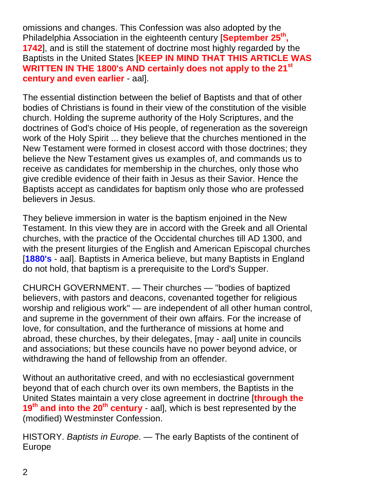omissions and changes. This Confession was also adopted by the Philadelphia Association in the eighteenth century [**September 25th , 1742**], and is still the statement of doctrine most highly regarded by the Baptists in the United States [**KEEP IN MIND THAT THIS ARTICLE WAS WRITTEN IN THE 1800's AND certainly does not apply to the 21st century and even earlier** - aal].

The essential distinction between the belief of Baptists and that of other bodies of Christians is found in their view of the constitution of the visible church. Holding the supreme authority of the Holy Scriptures, and the doctrines of God's choice of His people, of regeneration as the sovereign work of the Holy Spirit ... they believe that the churches mentioned in the New Testament were formed in closest accord with those doctrines; they believe the New Testament gives us examples of, and commands us to receive as candidates for membership in the churches, only those who give credible evidence of their faith in Jesus as their Savior. Hence the Baptists accept as candidates for baptism only those who are professed believers in Jesus.

They believe immersion in water is the baptism enjoined in the New Testament. In this view they are in accord with the Greek and all Oriental churches, with the practice of the Occidental churches till AD 1300, and with the present liturgies of the English and American Episcopal churches [**1880's** - aal]. Baptists in America believe, but many Baptists in England do not hold, that baptism is a prerequisite to the Lord's Supper.

CHURCH GOVERNMENT. — Their churches — "bodies of baptized believers, with pastors and deacons, covenanted together for religious worship and religious work" — are independent of all other human control, and supreme in the government of their own affairs. For the increase of love, for consultation, and the furtherance of missions at home and abroad, these churches, by their delegates, [may - aal] unite in councils and associations; but these councils have no power beyond advice, or withdrawing the hand of fellowship from an offender.

Without an authoritative creed, and with no ecclesiastical government beyond that of each church over its own members, the Baptists in the United States maintain a very close agreement in doctrine [**through the 19th and into the 20th century** - aal], which is best represented by the (modified) Westminster Confession.

HISTORY. *Baptists in Europe*. — The early Baptists of the continent of Europe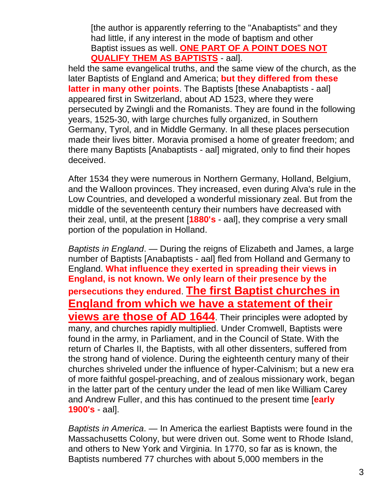[the author is apparently referring to the "Anabaptists" and they had little, if any interest in the mode of baptism and other Baptist issues as well. **ONE PART OF A POINT DOES NOT QUALIFY THEM AS BAPTISTS** - aal].

held the same evangelical truths, and the same view of the church, as the later Baptists of England and America; **but they differed from these latter in many other points**. The Baptists [these Anabaptists - aal] appeared first in Switzerland, about AD 1523, where they were persecuted by Zwingli and the Romanists. They are found in the following years, 1525-30, with large churches fully organized, in Southern Germany, Tyrol, and in Middle Germany. In all these places persecution made their lives bitter. Moravia promised a home of greater freedom; and there many Baptists [Anabaptists - aal] migrated, only to find their hopes deceived.

After 1534 they were numerous in Northern Germany, Holland, Belgium, and the Walloon provinces. They increased, even during Alva's rule in the Low Countries, and developed a wonderful missionary zeal. But from the middle of the seventeenth century their numbers have decreased with their zeal, until, at the present [**1880's** - aal], they comprise a very small portion of the population in Holland.

*Baptists in England*. — During the reigns of Elizabeth and James, a large number of Baptists [Anabaptists - aal] fled from Holland and Germany to England. **What influence they exerted in spreading their views in England, is not known. We only learn of their presence by the persecutions they endured**. **The first Baptist churches in England from which we have a statement of their views are those of AD 1644**. Their principles were adopted by many, and churches rapidly multiplied. Under Cromwell, Baptists were found in the army, in Parliament, and in the Council of State. With the return of Charles II, the Baptists, with all other dissenters, suffered from the strong hand of violence. During the eighteenth century many of their churches shriveled under the influence of hyper-Calvinism; but a new era of more faithful gospel-preaching, and of zealous missionary work, began in the latter part of the century under the lead of men like William Carey and Andrew Fuller, and this has continued to the present time [**early 1900's** - aal].

*Baptists in America*. — In America the earliest Baptists were found in the Massachusetts Colony, but were driven out. Some went to Rhode Island, and others to New York and Virginia. In 1770, so far as is known, the Baptists numbered 77 churches with about 5,000 members in the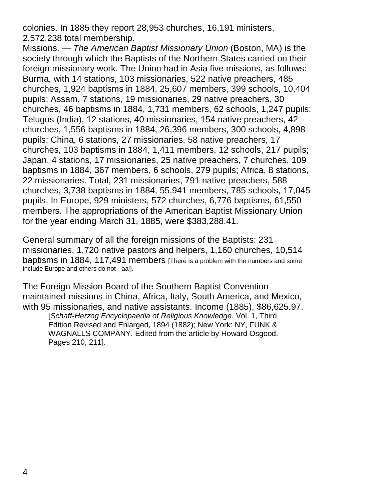colonies. In 1885 they report 28,953 churches, 16,191 ministers, 2,572,238 total membership.

Missions. — *The American Baptist Missionary Union* (Boston, MA) is the society through which the Baptists of the Northern States carried on their foreign missionary work. The Union had in Asia five missions, as follows: Burma, with 14 stations, 103 missionaries, 522 native preachers, 485 churches, 1,924 baptisms in 1884, 25,607 members, 399 schools, 10,404 pupils; Assam, 7 stations, 19 missionaries, 29 native preachers, 30 churches, 46 baptisms in 1884, 1,731 members, 62 schools, 1,247 pupils; Telugus (India), 12 stations, 40 missionaries, 154 native preachers, 42 churches, 1,556 baptisms in 1884, 26,396 members, 300 schools, 4,898 pupils; China, 6 stations, 27 missionaries, 58 native preachers, 17 churches, 103 baptisms in 1884, 1,411 members, 12 schools, 217 pupils; Japan, 4 stations, 17 missionaries, 25 native preachers, 7 churches, 109 baptisms in 1884, 367 members, 6 schools, 279 pupils; Africa, 8 stations, 22 missionaries. Total, 231 missionaries, 791 native preachers, 588 churches, 3,738 baptisms in 1884, 55,941 members, 785 schools, 17,045 pupils. In Europe, 929 ministers, 572 churches, 6,776 baptisms, 61,550 members. The appropriations of the American Baptist Missionary Union for the year ending March 31, 1885, were \$383,288.41.

General summary of all the foreign missions of the Baptists: 231 missionaries, 1,720 native pastors and helpers, 1,160 churches, 10,514 baptisms in 1884, 117,491 members [There is a problem with the numbers and some include Europe and others do not - aal].

The Foreign Mission Board of the Southern Baptist Convention maintained missions in China, Africa, Italy, South America, and Mexico, with 95 missionaries, and native assistants. Income (1885), \$86,625.97. [*Schaff-Herzog Encyclopaedia of Religious Knowledge*. Vol. 1, Third Edition Revised and Enlarged, 1894 (1882); New York: NY, FUNK &

WAGNALLS COMPANY. Edited from the article by Howard Osgood. Pages 210, 211].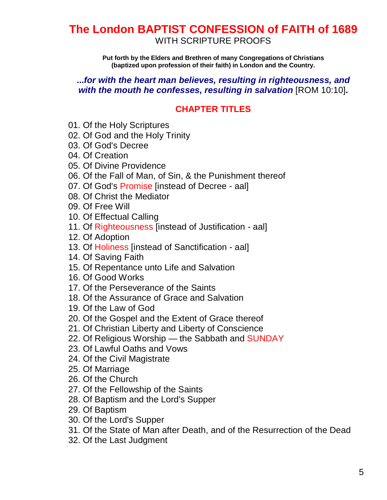# **The London BAPTIST CONFESSION of FAITH of 1689** WITH SCRIPTURE PROOFS

**Put forth by the Elders and Brethren of many Congregations of Christians (baptized upon profession of their faith) in London and the Country.**

#### **...***for with the heart man believes, resulting in righteousness, and with the mouth he confesses, resulting in salvation* [ROM 10:10]**.**

# **CHAPTER TITLES**

- 01. Of the Holy Scriptures
- 02. Of God and the Holy Trinity
- 03. Of God's Decree
- 04. Of Creation
- 05. Of Divine Providence
- 06. Of the Fall of Man, of Sin, & the Punishment thereof
- 07. Of God's Promise [instead of Decree aal]
- 08. Of Christ the Mediator
- 09. Of Free Will
- 10. Of Effectual Calling
- 11. Of Righteousness [instead of Justification aal]
- 12. Of Adoption
- 13. Of Holiness [instead of Sanctification aal]
- 14. Of Saving Faith
- 15. Of Repentance unto Life and Salvation
- 16. Of Good Works
- 17. Of the Perseverance of the Saints
- 18. Of the Assurance of Grace and Salvation
- 19. Of the Law of God
- 20. Of the Gospel and the Extent of Grace thereof
- 21. Of Christian Liberty and Liberty of Conscience
- 22. Of Religious Worship the Sabbath and SUNDAY
- 23. Of Lawful Oaths and Vows
- 24. Of the Civil Magistrate
- 25. Of Marriage
- 26. Of the Church
- 27. Of the Fellowship of the Saints
- 28. Of Baptism and the Lord's Supper
- 29. Of Baptism
- 30. Of the Lord's Supper
- 31. Of the State of Man after Death, and of the Resurrection of the Dead
- 32. Of the Last Judgment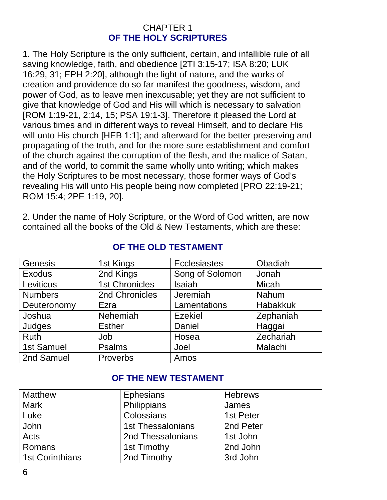#### CHAPTER 1 **OF THE HOLY SCRIPTURES**

1. The Holy Scripture is the only sufficient, certain, and infallible rule of all saving knowledge, faith, and obedience [2TI 3:15-17; ISA 8:20; LUK 16:29, 31; EPH 2:20], although the light of nature, and the works of creation and providence do so far manifest the goodness, wisdom, and power of God, as to leave men inexcusable; yet they are not sufficient to give that knowledge of God and His will which is necessary to salvation [ROM 1:19-21, 2:14, 15; PSA 19:1-3]. Therefore it pleased the Lord at various times and in different ways to reveal Himself, and to declare His will unto His church [HEB 1:1]; and afterward for the better preserving and propagating of the truth, and for the more sure establishment and comfort of the church against the corruption of the flesh, and the malice of Satan, and of the world, to commit the same wholly unto writing; which makes the Holy Scriptures to be most necessary, those former ways of God's revealing His will unto His people being now completed [PRO 22:19-21; ROM 15:4; 2PE 1:19, 20].

2. Under the name of Holy Scripture, or the Word of God written, are now contained all the books of the Old & New Testaments, which are these:

| Genesis        | 1st Kings             | <b>Ecclesiastes</b> | Obadiah         |
|----------------|-----------------------|---------------------|-----------------|
| Exodus         | 2nd Kings             | Song of Solomon     | Jonah           |
| Leviticus      | <b>1st Chronicles</b> | <b>Isaiah</b>       | Micah           |
| <b>Numbers</b> | 2nd Chronicles        | Jeremiah            | Nahum           |
| Deuteronomy    | Ezra                  | Lamentations        | <b>Habakkuk</b> |
| Joshua         | Nehemiah              | <b>Ezekiel</b>      | Zephaniah       |
| Judges         | <b>Esther</b>         | Daniel              | Haggai          |
| <b>Ruth</b>    | Job                   | Hosea               | Zechariah       |
| 1st Samuel     | <b>Psalms</b>         | Joel                | Malachi         |
| 2nd Samuel     | Proverbs              | Amos                |                 |

# **OF THE OLD TESTAMENT**

# **OF THE NEW TESTAMENT**

| <b>Matthew</b>         | <b>Ephesians</b>         | <b>Hebrews</b> |
|------------------------|--------------------------|----------------|
| <b>Mark</b>            | Philippians              | James          |
| Luke                   | Colossians               | 1st Peter      |
| John                   | <b>1st Thessalonians</b> | 2nd Peter      |
| Acts                   | 2nd Thessalonians        | 1st John       |
| Romans                 | 1st Timothy              | 2nd John       |
| <b>1st Corinthians</b> | 2nd Timothy              | 3rd John       |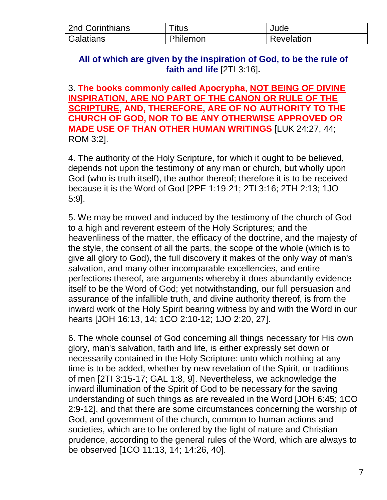| 2nd Corinthians | Titus    | Jude       |
|-----------------|----------|------------|
| Galatians       | Philemon | Revelation |

#### **All of which are given by the inspiration of God, to be the rule of faith and life** [2TI 3:16]**.**

3. **The books commonly called Apocrypha, NOT BEING OF DIVINE INSPIRATION, ARE NO PART OF THE CANON OR RULE OF THE SCRIPTURE, AND, THEREFORE, ARE OF NO AUTHORITY TO THE CHURCH OF GOD, NOR TO BE ANY OTHERWISE APPROVED OR MADE USE OF THAN OTHER HUMAN WRITINGS** [LUK 24:27, 44; ROM 3:2].

4. The authority of the Holy Scripture, for which it ought to be believed, depends not upon the testimony of any man or church, but wholly upon God (who is truth itself), the author thereof; therefore it is to be received because it is the Word of God [2PE 1:19-21; 2TI 3:16; 2TH 2:13; 1JO 5:9].

5. We may be moved and induced by the testimony of the church of God to a high and reverent esteem of the Holy Scriptures; and the heavenliness of the matter, the efficacy of the doctrine, and the majesty of the style, the consent of all the parts, the scope of the whole (which is to give all glory to God), the full discovery it makes of the only way of man's salvation, and many other incomparable excellencies, and entire perfections thereof, are arguments whereby it does abundantly evidence itself to be the Word of God; yet notwithstanding, our full persuasion and assurance of the infallible truth, and divine authority thereof, is from the inward work of the Holy Spirit bearing witness by and with the Word in our hearts [JOH 16:13, 14; 1CO 2:10-12; 1JO 2:20, 27].

6. The whole counsel of God concerning all things necessary for His own glory, man's salvation, faith and life, is either expressly set down or necessarily contained in the Holy Scripture: unto which nothing at any time is to be added, whether by new revelation of the Spirit, or traditions of men [2TI 3:15-17; GAL 1:8, 9]. Nevertheless, we acknowledge the inward illumination of the Spirit of God to be necessary for the saving understanding of such things as are revealed in the Word [JOH 6:45; 1CO 2:9-12], and that there are some circumstances concerning the worship of God, and government of the church, common to human actions and societies, which are to be ordered by the light of nature and Christian prudence, according to the general rules of the Word, which are always to be observed [1CO 11:13, 14; 14:26, 40].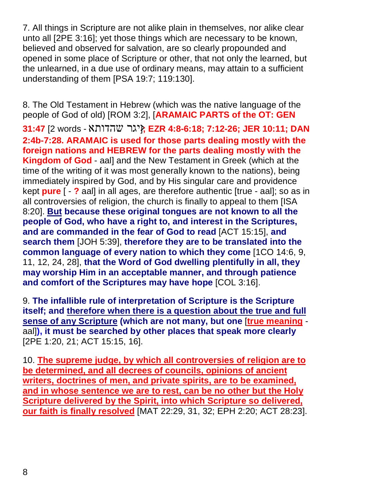7. All things in Scripture are not alike plain in themselves, nor alike clear unto all [2PE 3:16]; yet those things which are necessary to be known, believed and observed for salvation, are so clearly propounded and opened in some place of Scripture or other, that not only the learned, but the unlearned, in a due use of ordinary means, may attain to a sufficient understanding of them [PSA 19:7; 119:130].

8. The Old Testament in Hebrew (which was the native language of the people of God of old) [ROM 3:2], [**ARAMAIC PARTS of the OT: GEN 31:47** [2 words - שהדותא יגר **;**[<**EZR 4:8-6:18; 7:12-26; JER 10:11; DAN 2:4b-7:28. ARAMAIC is used for those parts dealing mostly with the foreign nations and HEBREW for the parts dealing mostly with the Kingdom of God** - aal] and the New Testament in Greek (which at the time of the writing of it was most generally known to the nations), being immediately inspired by God, and by His singular care and providence kept **pure** [ - **?** aal] in all ages, are therefore authentic [true - aal]; so as in all controversies of religion, the church is finally to appeal to them [ISA 8:20]. **But because these original tongues are not known to all the people of God, who have a right to, and interest in the Scriptures, and are commanded in the fear of God to read** [ACT 15:15], **and search them** [JOH 5:39], **therefore they are to be translated into the common language of every nation to which they come** [1CO 14:6, 9, 11, 12, 24, 28], **that the Word of God dwelling plentifully in all, they may worship Him in an acceptable manner, and through patience and comfort of the Scriptures may have hope** [COL 3:16].

9. **The infallible rule of interpretation of Scripture is the Scripture itself; and therefore when there is a question about the true and full sense of any Scripture (which are not many, but one** [**true meaning** aal]**), it must be searched by other places that speak more clearly** [2PE 1:20, 21; ACT 15:15, 16].

10. **The supreme judge, by which all controversies of religion are to be determined, and all decrees of councils, opinions of ancient writers, doctrines of men, and private spirits, are to be examined, and in whose sentence we are to rest, can be no other but the Holy Scripture delivered by the Spirit, into which Scripture so delivered, our faith is finally resolved** [MAT 22:29, 31, 32; EPH 2:20; ACT 28:23].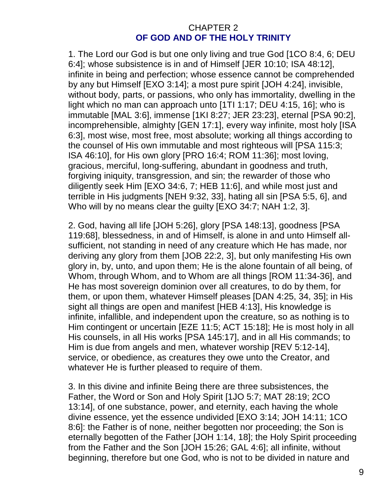#### CHAPTER 2 **OF GOD AND OF THE HOLY TRINITY**

1. The Lord our God is but one only living and true God [1CO 8:4, 6; DEU 6:4]; whose subsistence is in and of Himself [JER 10:10; ISA 48:12], infinite in being and perfection; whose essence cannot be comprehended by any but Himself [EXO 3:14]; a most pure spirit [JOH 4:24], invisible, without body, parts, or passions, who only has immortality, dwelling in the light which no man can approach unto [1TI 1:17; DEU 4:15, 16]; who is immutable [MAL 3:6], immense [1KI 8:27; JER 23:23], eternal [PSA 90:2], incomprehensible, almighty [GEN 17:1], every way infinite, most holy [ISA 6:3], most wise, most free, most absolute; working all things according to the counsel of His own immutable and most righteous will [PSA 115:3; ISA 46:10], for His own glory [PRO 16:4; ROM 11:36]; most loving, gracious, merciful, long-suffering, abundant in goodness and truth, forgiving iniquity, transgression, and sin; the rewarder of those who diligently seek Him [EXO 34:6, 7; HEB 11:6], and while most just and terrible in His judgments [NEH 9:32, 33], hating all sin [PSA 5:5, 6], and Who will by no means clear the guilty [EXO 34:7; NAH 1:2, 3].

2. God, having all life [JOH 5:26], glory [PSA 148:13], goodness [PSA 119:68], blessedness, in and of Himself, is alone in and unto Himself allsufficient, not standing in need of any creature which He has made, nor deriving any glory from them [JOB 22:2, 3], but only manifesting His own glory in, by, unto, and upon them; He is the alone fountain of all being, of Whom, through Whom, and to Whom are all things [ROM 11:34-36], and He has most sovereign dominion over all creatures, to do by them, for them, or upon them, whatever Himself pleases [DAN 4:25, 34, 35]; in His sight all things are open and manifest [HEB 4:13], His knowledge is infinite, infallible, and independent upon the creature, so as nothing is to Him contingent or uncertain [EZE 11:5; ACT 15:18]; He is most holy in all His counsels, in all His works [PSA 145:17], and in all His commands; to Him is due from angels and men, whatever worship [REV 5:12-14], service, or obedience, as creatures they owe unto the Creator, and whatever He is further pleased to require of them.

3. In this divine and infinite Being there are three subsistences, the Father, the Word or Son and Holy Spirit [1JO 5:7; MAT 28:19; 2CO 13:14], of one substance, power, and eternity, each having the whole divine essence, yet the essence undivided [EXO 3:14; JOH 14:11; 1CO 8:6]: the Father is of none, neither begotten nor proceeding; the Son is eternally begotten of the Father [JOH 1:14, 18]; the Holy Spirit proceeding from the Father and the Son [JOH 15:26; GAL 4:6]; all infinite, without beginning, therefore but one God, who is not to be divided in nature and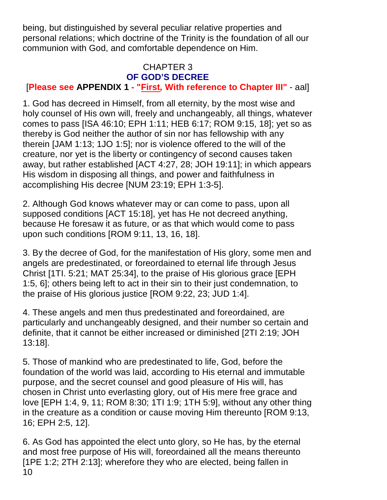being, but distinguished by several peculiar relative properties and personal relations; which doctrine of the Trinity is the foundation of all our communion with God, and comfortable dependence on Him.

#### CHAPTER 3 **OF GOD'S DECREE**

# [**Please see APPENDIX 1 - "First***,* **With reference to Chapter III"** - aal]

1. God has decreed in Himself, from all eternity, by the most wise and holy counsel of His own will, freely and unchangeably, all things, whatever comes to pass [ISA 46:10; EPH 1:11; HEB 6:17; ROM 9:15, 18]; yet so as thereby is God neither the author of sin nor has fellowship with any therein [JAM 1:13; 1JO 1:5]; nor is violence offered to the will of the creature, nor yet is the liberty or contingency of second causes taken away, but rather established [ACT 4:27, 28; JOH 19:11]; in which appears His wisdom in disposing all things, and power and faithfulness in accomplishing His decree [NUM 23:19; EPH 1:3-5].

2. Although God knows whatever may or can come to pass, upon all supposed conditions [ACT 15:18], yet has He not decreed anything, because He foresaw it as future, or as that which would come to pass upon such conditions [ROM 9:11, 13, 16, 18].

3. By the decree of God, for the manifestation of His glory, some men and angels are predestinated, or foreordained to eternal life through Jesus Christ [1TI. 5:21; MAT 25:34], to the praise of His glorious grace [EPH 1:5, 6]; others being left to act in their sin to their just condemnation, to the praise of His glorious justice [ROM 9:22, 23; JUD 1:4].

4. These angels and men thus predestinated and foreordained, are particularly and unchangeably designed, and their number so certain and definite, that it cannot be either increased or diminished [2TI 2:19; JOH 13:18].

5. Those of mankind who are predestinated to life, God, before the foundation of the world was laid, according to His eternal and immutable purpose, and the secret counsel and good pleasure of His will, has chosen in Christ unto everlasting glory, out of His mere free grace and love [EPH 1:4, 9, 11; ROM 8:30; 1TI 1:9; 1TH 5:9], without any other thing in the creature as a condition or cause moving Him thereunto [ROM 9:13, 16; EPH 2:5, 12].

10 6. As God has appointed the elect unto glory, so He has, by the eternal and most free purpose of His will, foreordained all the means thereunto [1PE 1:2; 2TH 2:13]; wherefore they who are elected, being fallen in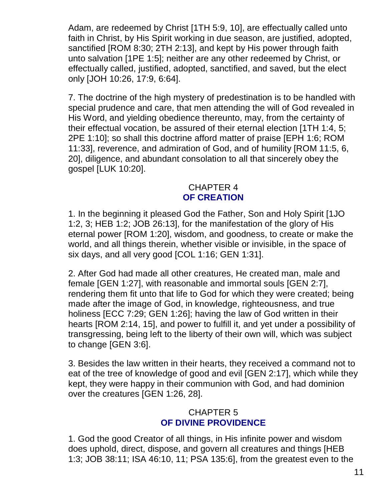Adam, are redeemed by Christ [1TH 5:9, 10], are effectually called unto faith in Christ, by His Spirit working in due season, are justified, adopted, sanctified [ROM 8:30; 2TH 2:13], and kept by His power through faith unto salvation [1PE 1:5]; neither are any other redeemed by Christ, or effectually called, justified, adopted, sanctified, and saved, but the elect only [JOH 10:26, 17:9, 6:64].

7. The doctrine of the high mystery of predestination is to be handled with special prudence and care, that men attending the will of God revealed in His Word, and yielding obedience thereunto, may, from the certainty of their effectual vocation, be assured of their eternal election [1TH 1:4, 5; 2PE 1:10]; so shall this doctrine afford matter of praise [EPH 1:6; ROM 11:33], reverence, and admiration of God, and of humility [ROM 11:5, 6, 20], diligence, and abundant consolation to all that sincerely obey the gospel [LUK 10:20].

#### CHAPTER 4 **OF CREATION**

1. In the beginning it pleased God the Father, Son and Holy Spirit [1JO 1:2, 3; HEB 1:2; JOB 26:13], for the manifestation of the glory of His eternal power [ROM 1:20], wisdom, and goodness, to create or make the world, and all things therein, whether visible or invisible, in the space of six days, and all very good [COL 1:16; GEN 1:31].

2. After God had made all other creatures, He created man, male and female [GEN 1:27], with reasonable and immortal souls [GEN 2:7], rendering them fit unto that life to God for which they were created; being made after the image of God, in knowledge, righteousness, and true holiness [ECC 7:29; GEN 1:26]; having the law of God written in their hearts [ROM 2:14, 15], and power to fulfill it, and yet under a possibility of transgressing, being left to the liberty of their own will, which was subject to change [GEN 3:6].

3. Besides the law written in their hearts, they received a command not to eat of the tree of knowledge of good and evil [GEN 2:17], which while they kept, they were happy in their communion with God, and had dominion over the creatures [GEN 1:26, 28].

# CHAPTER 5 **OF DIVINE PROVIDENCE**

1. God the good Creator of all things, in His infinite power and wisdom does uphold, direct, dispose, and govern all creatures and things [HEB 1:3; JOB 38:11; ISA 46:10, 11; PSA 135:6], from the greatest even to the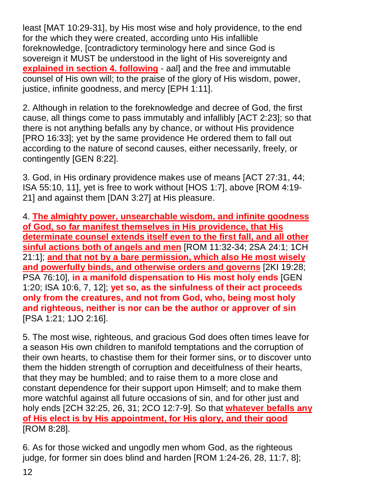least [MAT 10:29-31], by His most wise and holy providence, to the end for the which they were created, according unto His infallible foreknowledge, [contradictory terminology here and since God is sovereign it MUST be understood in the light of His sovereignty and **explained in section 4. following** - aal] and the free and immutable counsel of His own will; to the praise of the glory of His wisdom, power, justice, infinite goodness, and mercy [EPH 1:11].

2. Although in relation to the foreknowledge and decree of God, the first cause, all things come to pass immutably and infallibly [ACT 2:23]; so that there is not anything befalls any by chance, or without His providence [PRO 16:33]; yet by the same providence He ordered them to fall out according to the nature of second causes, either necessarily, freely, or contingently [GEN 8:22].

3. God, in His ordinary providence makes use of means [ACT 27:31, 44; ISA 55:10, 11], yet is free to work without [HOS 1:7], above [ROM 4:19- 21] and against them [DAN 3:27] at His pleasure.

4. **The almighty power, unsearchable wisdom, and infinite goodness of God, so far manifest themselves in His providence, that His determinate counsel extends itself even to the first fall, and all other sinful actions both of angels and men** [ROM 11:32-34; 2SA 24:1; 1CH 21:1]; **and that not by a bare permission, which also He most wisely and powerfully binds, and otherwise orders and governs** [2KI 19:28; PSA 76:10], **in a manifold dispensation to His most holy ends** [GEN 1:20; ISA 10:6, 7, 12]; **yet so, as the sinfulness of their act proceeds only from the creatures, and not from God, who, being most holy and righteous, neither is nor can be the author or approver of sin** [PSA 1:21; 1JO 2:16].

5. The most wise, righteous, and gracious God does often times leave for a season His own children to manifold temptations and the corruption of their own hearts, to chastise them for their former sins, or to discover unto them the hidden strength of corruption and deceitfulness of their hearts, that they may be humbled; and to raise them to a more close and constant dependence for their support upon Himself; and to make them more watchful against all future occasions of sin, and for other just and holy ends [2CH 32:25, 26, 31; 2CO 12:7-9]. So that **whatever befalls any of His elect is by His appointment, for His glory, and their good** [ROM 8:28].

6. As for those wicked and ungodly men whom God, as the righteous judge, for former sin does blind and harden [ROM 1:24-26, 28, 11:7, 8];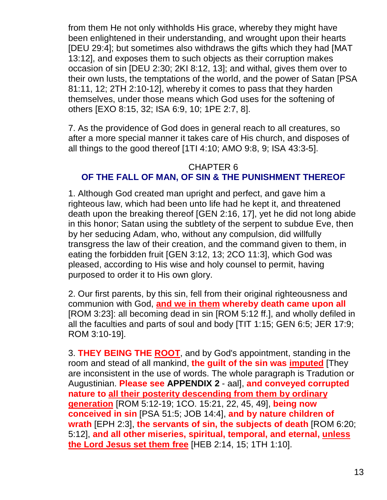from them He not only withholds His grace, whereby they might have been enlightened in their understanding, and wrought upon their hearts [DEU 29:4]; but sometimes also withdraws the gifts which they had [MAT 13:12], and exposes them to such objects as their corruption makes occasion of sin [DEU 2:30; 2KI 8:12, 13]; and withal, gives them over to their own lusts, the temptations of the world, and the power of Satan [PSA 81:11, 12; 2TH 2:10-12], whereby it comes to pass that they harden themselves, under those means which God uses for the softening of others [EXO 8:15, 32; ISA 6:9, 10; 1PE 2:7, 8].

7. As the providence of God does in general reach to all creatures, so after a more special manner it takes care of His church, and disposes of all things to the good thereof [1TI 4:10; AMO 9:8, 9; ISA 43:3-5].

#### CHAPTER 6 **OF THE FALL OF MAN, OF SIN & THE PUNISHMENT THEREOF**

1. Although God created man upright and perfect, and gave him a righteous law, which had been unto life had he kept it, and threatened death upon the breaking thereof [GEN 2:16, 17], yet he did not long abide in this honor; Satan using the subtlety of the serpent to subdue Eve, then by her seducing Adam, who, without any compulsion, did willfully transgress the law of their creation, and the command given to them, in eating the forbidden fruit [GEN 3:12, 13; 2CO 11:3], which God was pleased, according to His wise and holy counsel to permit, having purposed to order it to His own glory.

2. Our first parents, by this sin, fell from their original righteousness and communion with God, **and we in them whereby death came upon all** [ROM 3:23]: all becoming dead in sin [ROM 5:12 ff.], and wholly defiled in all the faculties and parts of soul and body [TIT 1:15; GEN 6:5; JER 17:9; ROM 3:10-19].

3. **THEY BEING THE ROOT**, and by God's appointment, standing in the room and stead of all mankind, **the guilt of the sin was imputed** [They are inconsistent in the use of words. The whole paragraph is Tradution or Augustinian. **Please see APPENDIX 2** - aal], **and conveyed corrupted nature to all their posterity descending from them by ordinary generation** [ROM 5:12-19; 1CO. 15:21, 22, 45, 49], **being now conceived in sin** [PSA 51:5; JOB 14:4], **and by nature children of wrath** [EPH 2:3], **the servants of sin, the subjects of death** [ROM 6:20; 5:12], **and all other miseries, spiritual, temporal, and eternal, unless the Lord Jesus set them free** [HEB 2:14, 15; 1TH 1:10].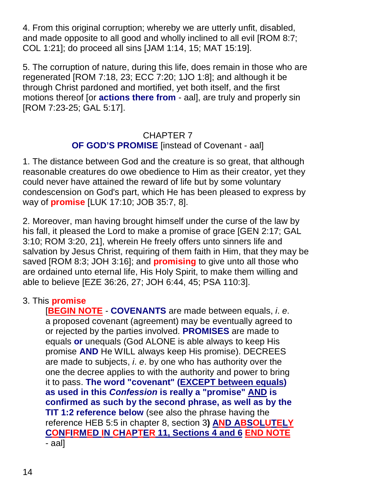4. From this original corruption; whereby we are utterly unfit, disabled, and made opposite to all good and wholly inclined to all evil [ROM 8:7; COL 1:21]; do proceed all sins [JAM 1:14, 15; MAT 15:19].

5. The corruption of nature, during this life, does remain in those who are regenerated [ROM 7:18, 23; ECC 7:20; 1JO 1:8]; and although it be through Christ pardoned and mortified, yet both itself, and the first motions thereof [or **actions there from** - aal], are truly and properly sin [ROM 7:23-25; GAL 5:17].

# CHAPTER 7 **OF GOD'S PROMISE** [instead of Covenant - aal]

1. The distance between God and the creature is so great, that although reasonable creatures do owe obedience to Him as their creator, yet they could never have attained the reward of life but by some voluntary condescension on God's part, which He has been pleased to express by way of **promise** [LUK 17:10; JOB 35:7, 8].

2. Moreover, man having brought himself under the curse of the law by his fall, it pleased the Lord to make a promise of grace [GEN 2:17; GAL 3:10; ROM 3:20, 21], wherein He freely offers unto sinners life and salvation by Jesus Christ, requiring of them faith in Him, that they may be saved [ROM 8:3; JOH 3:16]; and **promising** to give unto all those who are ordained unto eternal life, His Holy Spirit, to make them willing and able to believe [EZE 36:26, 27; JOH 6:44, 45; PSA 110:3].

# 3. This **promise**

[**BEGIN NOTE** - **COVENANTS** are made between equals, *i*. *e*. a proposed covenant (agreement) may be eventually agreed to or rejected by the parties involved. **PROMISES** are made to equals **or** unequals (God ALONE is able always to keep His promise **AND** He WILL always keep His promise). DECREES are made to subjects, *i*. *e*. by one who has authority over the one the decree applies to with the authority and power to bring it to pass. **The word "covenant" (EXCEPT between equals) as used in this** *Confession* **is really a "promise" AND is confirmed as such by the second phrase, as well as by the TIT 1:2 reference below** (see also the phrase having the reference HEB 5:5 in chapter 8, section 3**) AND ABSOLUTELY CONFIRMED IN CHAPTER 11, Sections 4 and 6 END NOTE** - aal]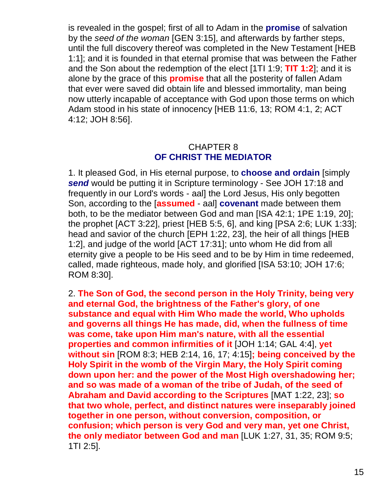is revealed in the gospel; first of all to Adam in the **promise** of salvation by the *seed of the woman* [GEN 3:15], and afterwards by farther steps, until the full discovery thereof was completed in the New Testament [HEB 1:1]; and it is founded in that eternal promise that was between the Father and the Son about the redemption of the elect [1TI 1:9; **TIT 1:2**]; and it is alone by the grace of this **promise** that all the posterity of fallen Adam that ever were saved did obtain life and blessed immortality, man being now utterly incapable of acceptance with God upon those terms on which Adam stood in his state of innocency [HEB 11:6, 13; ROM 4:1, 2; ACT 4:12; JOH 8:56].

#### CHAPTER 8 **OF CHRIST THE MEDIATOR**

1. It pleased God, in His eternal purpose, to **choose and ordain** [simply *send* would be putting it in Scripture terminology - See JOH 17:18 and frequently in our Lord's words - aal] the Lord Jesus, His only begotten Son, according to the [**assumed** - aal] **covenant** made between them both, to be the mediator between God and man [ISA 42:1; 1PE 1:19, 20]; the prophet [ACT 3:22], priest [HEB 5:5, 6], and king [PSA 2:6; LUK 1:33]; head and savior of the church [EPH 1:22, 23], the heir of all things [HEB 1:2], and judge of the world [ACT 17:31]; unto whom He did from all eternity give a people to be His seed and to be by Him in time redeemed, called, made righteous, made holy, and glorified [ISA 53:10; JOH 17:6; ROM 8:30].

2. **The Son of God, the second person in the Holy Trinity, being very and eternal God, the brightness of the Father's glory, of one substance and equal with Him Who made the world, Who upholds and governs all things He has made, did, when the fullness of time was come, take upon Him man's nature, with all the essential properties and common infirmities of it** [JOH 1:14; GAL 4:4], **yet without sin** [ROM 8:3; HEB 2:14, 16, 17; 4:15]**; being conceived by the Holy Spirit in the womb of the Virgin Mary, the Holy Spirit coming down upon her: and the power of the Most High overshadowing her; and so was made of a woman of the tribe of Judah, of the seed of Abraham and David according to the Scriptures** [MAT 1:22, 23]; **so that two whole, perfect, and distinct natures were inseparably joined together in one person, without conversion, composition, or confusion; which person is very God and very man, yet one Christ, the only mediator between God and man** [LUK 1:27, 31, 35; ROM 9:5; 1TI 2:5].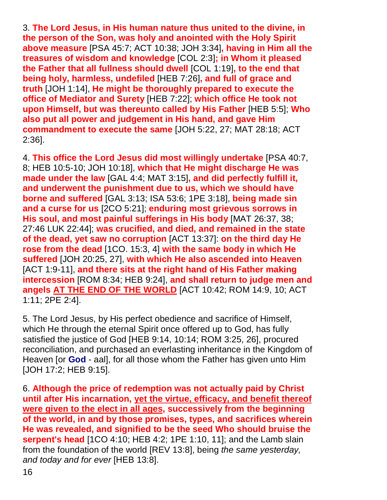3. **The Lord Jesus, in His human nature thus united to the divine, in the person of the Son, was holy and anointed with the Holy Spirit above measure** [PSA 45:7; ACT 10:38; JOH 3:34]**, having in Him all the treasures of wisdom and knowledge** [COL 2:3]**; in Whom it pleased the Father that all fullness should dwell** [COL 1:19]**, to the end that being holy, harmless, undefiled** [HEB 7:26]**, and full of grace and truth** [JOH 1:14], **He might be thoroughly prepared to execute the office of Mediator and Surety** [HEB 7:22]; **which office He took not upon Himself, but was thereunto called by His Father** [HEB 5:5]; **Who also put all power and judgement in His hand, and gave Him commandment to execute the same** [JOH 5:22, 27; MAT 28:18; ACT 2:36].

4. **This office the Lord Jesus did most willingly undertake** [PSA 40:7, 8; HEB 10:5-10; JOH 10:18], **which that He might discharge He was made under the law** [GAL 4:4; MAT 3:15]**, and did perfectly fulfill it, and underwent the punishment due to us, which we should have borne and suffered** [GAL 3:13; ISA 53:6; 1PE 3:18], **being made sin and a curse for us** [2CO 5:21]; **enduring most grievous sorrows in His soul, and most painful sufferings in His body** [MAT 26:37, 38; 27:46 LUK 22:44]; **was crucified, and died, and remained in the state of the dead, yet saw no corruption** [ACT 13:37]: **on the third day He rose from the dead** [1CO. 15:3, 4] **with the same body in which He suffered** [JOH 20:25, 27], **with which He also ascended into Heaven** [ACT 1:9-11], **and there sits at the right hand of His Father making intercession** [ROM 8:34; HEB 9:24], **and shall return to judge men and angels AT THE END OF THE WORLD** [ACT 10:42; ROM 14:9, 10; ACT 1:11; 2PE 2:4].

5. The Lord Jesus, by His perfect obedience and sacrifice of Himself, which He through the eternal Spirit once offered up to God, has fully satisfied the justice of God [HEB 9:14, 10:14; ROM 3:25, 26], procured reconciliation, and purchased an everlasting inheritance in the Kingdom of Heaven [or **God** - aal], for all those whom the Father has given unto Him [JOH 17:2; HEB 9:15].

6. **Although the price of redemption was not actually paid by Christ until after His incarnation, yet the virtue, efficacy, and benefit thereof were given to the elect in all ages, successively from the beginning of the world, in and by those promises, types, and sacrifices wherein He was revealed, and signified to be the seed Who should bruise the serpent's head** [1CO 4:10; HEB 4:2; 1PE 1:10, 11]; and the Lamb slain from the foundation of the world [REV 13:8], being *the same yesterday, and today and for ever* [HEB 13:8].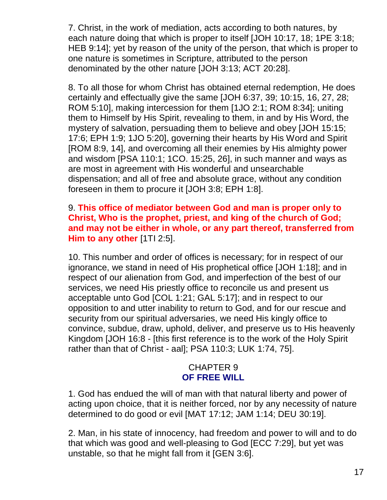7. Christ, in the work of mediation, acts according to both natures, by each nature doing that which is proper to itself [JOH 10:17, 18; 1PE 3:18; HEB 9:14]; yet by reason of the unity of the person, that which is proper to one nature is sometimes in Scripture, attributed to the person denominated by the other nature [JOH 3:13; ACT 20:28].

8. To all those for whom Christ has obtained eternal redemption, He does certainly and effectually give the same [JOH 6:37, 39; 10:15, 16, 27, 28; ROM 5:10], making intercession for them [1JO 2:1; ROM 8:34]; uniting them to Himself by His Spirit, revealing to them, in and by His Word, the mystery of salvation, persuading them to believe and obey [JOH 15:15; 17:6; EPH 1:9; 1JO 5:20], governing their hearts by His Word and Spirit [ROM 8:9, 14], and overcoming all their enemies by His almighty power and wisdom [PSA 110:1; 1CO. 15:25, 26], in such manner and ways as are most in agreement with His wonderful and unsearchable dispensation; and all of free and absolute grace, without any condition foreseen in them to procure it [JOH 3:8; EPH 1:8].

#### 9. **This office of mediator between God and man is proper only to Christ, Who is the prophet, priest, and king of the church of God; and may not be either in whole, or any part thereof, transferred from Him to any other** [1TI 2:5].

10. This number and order of offices is necessary; for in respect of our ignorance, we stand in need of His prophetical office [JOH 1:18]; and in respect of our alienation from God, and imperfection of the best of our services, we need His priestly office to reconcile us and present us acceptable unto God [COL 1:21; GAL 5:17]; and in respect to our opposition to and utter inability to return to God, and for our rescue and security from our spiritual adversaries, we need His kingly office to convince, subdue, draw, uphold, deliver, and preserve us to His heavenly Kingdom [JOH 16:8 - [this first reference is to the work of the Holy Spirit rather than that of Christ - aal]; PSA 110:3; LUK 1:74, 75].

#### CHAPTER 9 **OF FREE WILL**

1. God has endued the will of man with that natural liberty and power of acting upon choice, that it is neither forced, nor by any necessity of nature determined to do good or evil [MAT 17:12; JAM 1:14; DEU 30:19].

2. Man, in his state of innocency, had freedom and power to will and to do that which was good and well-pleasing to God [ECC 7:29], but yet was unstable, so that he might fall from it [GEN 3:6].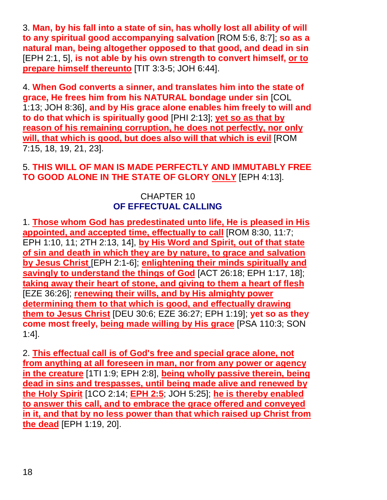3. **Man, by his fall into a state of sin, has wholly lost all ability of will to any spiritual good accompanying salvation** [ROM 5:6, 8:7]; **so as a natural man, being altogether opposed to that good, and dead in sin** [EPH 2:1, 5], **is not able by his own strength to convert himself, or to prepare himself thereunto** [TIT 3:3-5; JOH 6:44].

4. **When God converts a sinner, and translates him into the state of grace, He frees him from his NATURAL bondage under sin** [COL 1:13; JOH 8:36], **and by His grace alone enables him freely to will and to do that which is spiritually good** [PHI 2:13]; **yet so as that by reason of his remaining corruption, he does not perfectly, nor only will, that which is good, but does also will that which is evil** [ROM 7:15, 18, 19, 21, 23].

#### 5. **THIS WILL OF MAN IS MADE PERFECTLY AND IMMUTABLY FREE TO GOOD ALONE IN THE STATE OF GLORY ONLY** [EPH 4:13].

#### CHAPTER 10 **OF EFFECTUAL CALLING**

1. **Those whom God has predestinated unto life, He is pleased in His appointed, and accepted time, effectually to call** [ROM 8:30, 11:7; EPH 1:10, 11; 2TH 2:13, 14], **by His Word and Spirit, out of that state of sin and death in which they are by nature, to grace and salvation by Jesus Christ** [EPH 2:1-6]; **enlightening their minds spiritually and savingly to understand the things of God** [ACT 26:18; EPH 1:17, 18]; **taking away their heart of stone, and giving to them a heart of flesh** [EZE 36:26]; **renewing their wills, and by His almighty power determining them to that which is good, and effectually drawing them to Jesus Christ** [DEU 30:6; EZE 36:27; EPH 1:19]; **yet so as they come most freely, being made willing by His grace** [PSA 110:3; SON 1:4].

2. **This effectual call is of God's free and special grace alone, not from anything at all foreseen in man, nor from any power or agency in the creature** [1TI 1:9; EPH 2:8], **being wholly passive therein, being dead in sins and trespasses, until being made alive and renewed by the Holy Spirit** [1CO 2:14; **EPH 2:5**; JOH 5:25]; **he is thereby enabled to answer this call, and to embrace the grace offered and conveyed in it, and that by no less power than that which raised up Christ from the dead** [EPH 1:19, 20].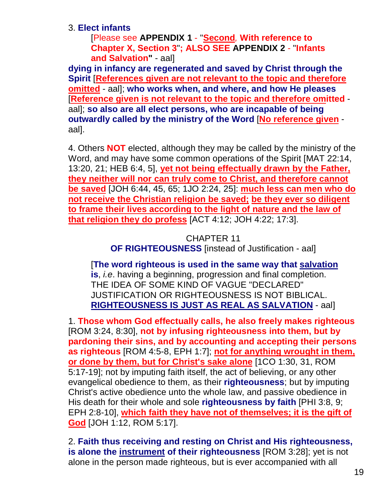3. **Elect infants**

[Please see **APPENDIX 1** - "**Second***,* **With reference to Chapter X, Section 3**"**; ALSO SEE APPENDIX 2** - "**Infants and Salvation"** - aal]

**dying in infancy are regenerated and saved by Christ through the Spirit** [**References given are not relevant to the topic and therefore omitted** - aal]; **who works when, and where, and how He pleases** [**Reference given is not relevant to the topic and therefore omitted** aal]; **so also are all elect persons, who are incapable of being outwardly called by the ministry of the Word** [**No reference given** aal].

4. Others **NOT** elected, although they may be called by the ministry of the Word, and may have some common operations of the Spirit [MAT 22:14, 13:20, 21; HEB 6:4, 5], **yet not being effectually drawn by the Father, they neither will nor can truly come to Christ, and therefore cannot be saved** [JOH 6:44, 45, 65; 1JO 2:24, 25]: **much less can men who do not receive the Christian religion be saved; be they ever so diligent to frame their lives according to the light of nature and the law of that religion they do profess** [ACT 4:12; JOH 4:22; 17:3].

> CHAPTER 11 **OF RIGHTEOUSNESS** [instead of Justification - aal]

[**The word righteous is used in the same way that salvation is**, *i.e*. having a beginning, progression and final completion. THE IDEA OF SOME KIND OF VAGUE "DECLARED" JUSTIFICATION OR RIGHTEOUSNESS IS NOT BIBLICAL. **RIGHTEOUSNESS IS JUST AS REAL AS SALVATION** - aal]

1. **Those whom God effectually calls, he also freely makes righteous** [ROM 3:24, 8:30], **not by infusing righteousness into them, but by pardoning their sins, and by accounting and accepting their persons as righteous** [ROM 4:5-8, EPH 1:7]; **not for anything wrought in them, or done by them, but for Christ's sake alone** [1CO 1:30, 31, ROM 5:17-19]; not by imputing faith itself, the act of believing, or any other evangelical obedience to them, as their **righteousness**; but by imputing Christ's active obedience unto the whole law, and passive obedience in His death for their whole and sole **righteousness by faith** [PHI 3:8, 9; EPH 2:8-10], **which faith they have not of themselves; it is the gift of God** [JOH 1:12, ROM 5:17].

2. **Faith thus receiving and resting on Christ and His righteousness, is alone the instrument of their righteousness** [ROM 3:28]; yet is not alone in the person made righteous, but is ever accompanied with all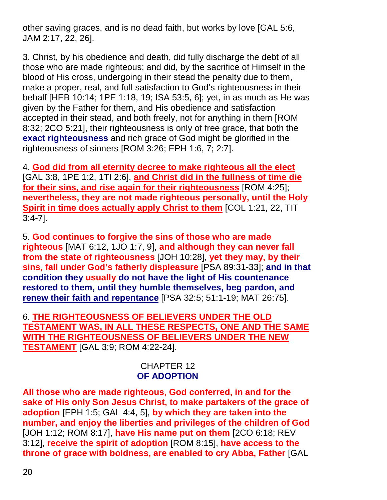other saving graces, and is no dead faith, but works by love [GAL 5:6, JAM 2:17, 22, 26].

3. Christ, by his obedience and death, did fully discharge the debt of all those who are made righteous; and did, by the sacrifice of Himself in the blood of His cross, undergoing in their stead the penalty due to them, make a proper, real, and full satisfaction to God's righteousness in their behalf [HEB 10:14; 1PE 1:18, 19; ISA 53:5, 6]; yet, in as much as He was given by the Father for them, and His obedience and satisfaction accepted in their stead, and both freely, not for anything in them [ROM 8:32; 2CO 5:21], their righteousness is only of free grace, that both the **exact righteousness** and rich grace of God might be glorified in the righteousness of sinners [ROM 3:26; EPH 1:6, 7; 2:7].

4. **God did from all eternity decree to make righteous all the elect** [GAL 3:8, 1PE 1:2, 1TI 2:6], **and Christ did in the fullness of time die for their sins, and rise again for their righteousness** [ROM 4:25]; **nevertheless, they are not made righteous personally, until the Holy Spirit in time does actually apply Christ to them** [COL 1:21, 22, TIT 3:4-7].

5. **God continues to forgive the sins of those who are made righteous** [MAT 6:12, 1JO 1:7, 9], **and although they can never fall from the state of righteousness** [JOH 10:28], **yet they may, by their sins, fall under God's fatherly displeasure** [PSA 89:31-33]; **and in that condition they usually do not have the light of His countenance restored to them, until they humble themselves, beg pardon, and renew their faith and repentance** [PSA 32:5; 51:1-19; MAT 26:75].

6. **THE RIGHTEOUSNESS OF BELIEVERS UNDER THE OLD TESTAMENT WAS, IN ALL THESE RESPECTS, ONE AND THE SAME WITH THE RIGHTEOUSNESS OF BELIEVERS UNDER THE NEW TESTAMENT** [GAL 3:9; ROM 4:22-24].

#### CHAPTER 12 **OF ADOPTION**

**All those who are made righteous, God conferred, in and for the sake of His only Son Jesus Christ, to make partakers of the grace of adoption** [EPH 1:5; GAL 4:4, 5], **by which they are taken into the number, and enjoy the liberties and privileges of the children of God** [JOH 1:12; ROM 8:17], **have His name put on them** [2CO 6:18; REV 3:12], **receive the spirit of adoption** [ROM 8:15], **have access to the throne of grace with boldness, are enabled to cry Abba, Father** [GAL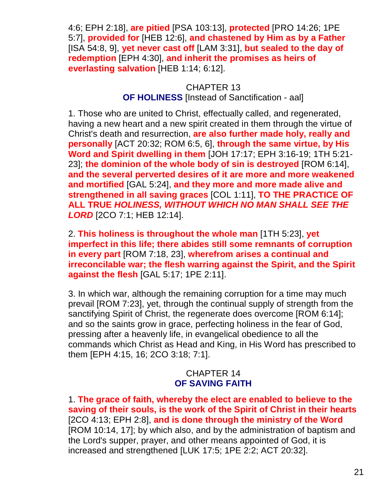4:6; EPH 2:18], **are pitied** [PSA 103:13], **protected** [PRO 14:26; 1PE 5:7], **provided for** [HEB 12:6], **and chastened by Him as by a Father** [ISA 54:8, 9], **yet never cast off** [LAM 3:31], **but sealed to the day of redemption** [EPH 4:30], **and inherit the promises as heirs of everlasting salvation** [HEB 1:14; 6:12].

# CHAPTER 13 **OF HOLINESS** [Instead of Sanctification - aal]

1. Those who are united to Christ, effectually called, and regenerated, having a new heart and a new spirit created in them through the virtue of Christ's death and resurrection, **are also further made holy, really and personally** [ACT 20:32; ROM 6:5, 6], **through the same virtue, by His Word and Spirit dwelling in them** [JOH 17:17; EPH 3:16-19; 1TH 5:21- 23]; **the dominion of the whole body of sin is destroyed** [ROM 6:14], **and the several perverted desires of it are more and more weakened and mortified** [GAL 5:24], **and they more and more made alive and strengthened in all saving graces** [COL 1:11], **TO THE PRACTICE OF ALL TRUE** *HOLINESS, WITHOUT WHICH NO MAN SHALL SEE THE LORD* [2CO 7:1; HEB 12:14].

2. **This holiness is throughout the whole man** [1TH 5:23], **yet imperfect in this life; there abides still some remnants of corruption in every part** [ROM 7:18, 23], **wherefrom arises a continual and irreconcilable war; the flesh warring against the Spirit, and the Spirit against the flesh** [GAL 5:17; 1PE 2:11].

3. In which war, although the remaining corruption for a time may much prevail [ROM 7:23], yet, through the continual supply of strength from the sanctifying Spirit of Christ, the regenerate does overcome [ROM 6:14]; and so the saints grow in grace, perfecting holiness in the fear of God, pressing after a heavenly life, in evangelical obedience to all the commands which Christ as Head and King, in His Word has prescribed to them [EPH 4:15, 16; 2CO 3:18; 7:1].

# CHAPTER 14 **OF SAVING FAITH**

1. **The grace of faith, whereby the elect are enabled to believe to the saving of their souls, is the work of the Spirit of Christ in their hearts** [2CO 4:13; EPH 2:8], **and is done through the ministry of the Word** [ROM 10:14, 17]; by which also, and by the administration of baptism and the Lord's supper, prayer, and other means appointed of God, it is increased and strengthened [LUK 17:5; 1PE 2:2; ACT 20:32].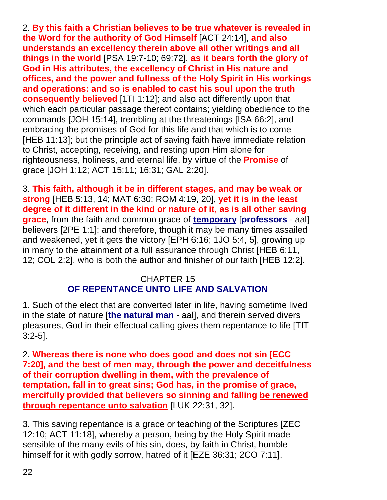2. **By this faith a Christian believes to be true whatever is revealed in the Word for the authority of God Himself** [ACT 24:14], **and also understands an excellency therein above all other writings and all things in the world** [PSA 19:7-10; 69:72], **as it bears forth the glory of God in His attributes, the excellency of Christ in His nature and offices, and the power and fullness of the Holy Spirit in His workings and operations: and so is enabled to cast his soul upon the truth consequently believed** [1TI 1:12]; and also act differently upon that which each particular passage thereof contains; yielding obedience to the commands [JOH 15:14], trembling at the threatenings [ISA 66:2], and embracing the promises of God for this life and that which is to come [HEB 11:13]; but the principle act of saving faith have immediate relation to Christ, accepting, receiving, and resting upon Him alone for righteousness, holiness, and eternal life, by virtue of the **Promise** of grace [JOH 1:12; ACT 15:11; 16:31; GAL 2:20].

3. **This faith, although it be in different stages, and may be weak or strong** [HEB 5:13, 14; MAT 6:30; ROM 4:19, 20], **yet it is in the least degree of it different in the kind or nature of it, as is all other saving grace**, from the faith and common grace of **temporary** [**professors** - aal] believers [2PE 1:1]; and therefore, though it may be many times assailed and weakened, yet it gets the victory [EPH 6:16; 1JO 5:4, 5], growing up in many to the attainment of a full assurance through Christ [HEB 6:11, 12; COL 2:2], who is both the author and finisher of our faith [HEB 12:2].

# CHAPTER 15 **OF REPENTANCE UNTO LIFE AND SALVATION**

1. Such of the elect that are converted later in life, having sometime lived in the state of nature [**the natural man** - aal], and therein served divers pleasures, God in their effectual calling gives them repentance to life [TIT 3:2-5].

2. **Whereas there is none who does good and does not sin [ECC 7:20], and the best of men may, through the power and deceitfulness of their corruption dwelling in them, with the prevalence of temptation, fall in to great sins; God has, in the promise of grace, mercifully provided that believers so sinning and falling be renewed through repentance unto salvation** [LUK 22:31, 32].

3. This saving repentance is a grace or teaching of the Scriptures [ZEC 12:10; ACT 11:18], whereby a person, being by the Holy Spirit made sensible of the many evils of his sin, does, by faith in Christ, humble himself for it with godly sorrow, hatred of it [EZE 36:31; 2CO 7:11],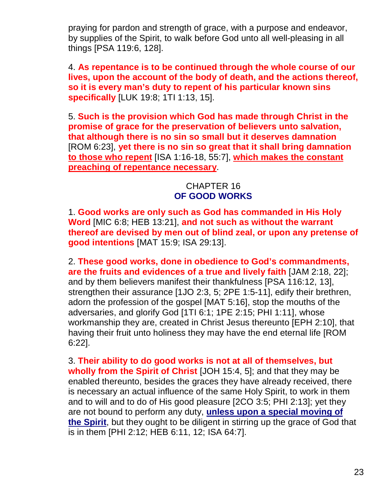praying for pardon and strength of grace, with a purpose and endeavor, by supplies of the Spirit, to walk before God unto all well-pleasing in all things [PSA 119:6, 128].

4. **As repentance is to be continued through the whole course of our lives, upon the account of the body of death, and the actions thereof, so it is every man's duty to repent of his particular known sins specifically** [LUK 19:8; 1TI 1:13, 15].

5. **Such is the provision which God has made through Christ in the promise of grace for the preservation of believers unto salvation, that although there is no sin so small but it deserves damnation** [ROM 6:23], **yet there is no sin so great that it shall bring damnation to those who repent** [ISA 1:16-18, 55:7], **which makes the constant preaching of repentance necessary**.

#### CHAPTER 16 **OF GOOD WORKS**

1. **Good works are only such as God has commanded in His Holy Word** [MIC 6:8; HEB 13:21], **and not such as without the warrant thereof are devised by men out of blind zeal, or upon any pretense of good intentions** [MAT 15:9; ISA 29:13].

2. **These good works, done in obedience to God's commandments, are the fruits and evidences of a true and lively faith** [JAM 2:18, 22]; and by them believers manifest their thankfulness [PSA 116:12, 13], strengthen their assurance [1JO 2:3, 5; 2PE 1:5-11], edify their brethren, adorn the profession of the gospel [MAT 5:16], stop the mouths of the adversaries, and glorify God [1TI 6:1; 1PE 2:15; PHI 1:11], whose workmanship they are, created in Christ Jesus thereunto [EPH 2:10], that having their fruit unto holiness they may have the end eternal life [ROM 6:22].

3. **Their ability to do good works is not at all of themselves, but wholly from the Spirit of Christ** [JOH 15:4, 5]; and that they may be enabled thereunto, besides the graces they have already received, there is necessary an actual influence of the same Holy Spirit, to work in them and to will and to do of His good pleasure [2CO 3:5; PHI 2:13]; yet they are not bound to perform any duty, **unless upon a special moving of the Spirit**, but they ought to be diligent in stirring up the grace of God that is in them [PHI 2:12; HEB 6:11, 12; ISA 64:7].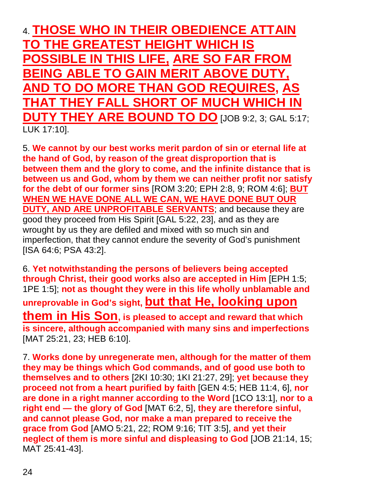4. **THOSE WHO IN THEIR OBEDIENCE ATTAIN TO THE GREATEST HEIGHT WHICH IS POSSIBLE IN THIS LIFE, ARE SO FAR FROM BEING ABLE TO GAIN MERIT ABOVE DUTY, AND TO DO MORE THAN GOD REQUIRES, AS THAT THEY FALL SHORT OF MUCH WHICH IN DUTY THEY ARE BOUND TO DO** [JOB 9:2, 3; GAL 5:17; LUK 17:10].

5. **We cannot by our best works merit pardon of sin or eternal life at the hand of God, by reason of the great disproportion that is between them and the glory to come, and the infinite distance that is between us and God, whom by them we can neither profit nor satisfy for the debt of our former sins** [ROM 3:20; EPH 2:8, 9; ROM 4:6]; **BUT WHEN WE HAVE DONE ALL WE CAN, WE HAVE DONE BUT OUR DUTY, AND ARE UNPROFITABLE SERVANTS**; and because they are good they proceed from His Spirit [GAL 5:22, 23], and as they are wrought by us they are defiled and mixed with so much sin and imperfection, that they cannot endure the severity of God's punishment [ISA 64:6; PSA 43:2].

6. **Yet notwithstanding the persons of believers being accepted through Christ, their good works also are accepted in Him** [EPH 1:5; 1PE 1:5]; **not as thought they were in this life wholly unblamable and unreprovable in God's sight, but that He, looking upon them in His Son, is pleased to accept and reward that which is sincere, although accompanied with many sins and imperfections** [MAT 25:21, 23; HEB 6:10].

7. **Works done by unregenerate men, although for the matter of them they may be things which God commands, and of good use both to themselves and to others** [2KI 10:30; 1KI 21:27, 29]; **yet because they proceed not from a heart purified by faith** [GEN 4:5; HEB 11:4, 6], **nor are done in a right manner according to the Word** [1CO 13:1], **nor to a right end — the glory of God** [MAT 6:2, 5], **they are therefore sinful, and cannot please God, nor make a man prepared to receive the grace from God** [AMO 5:21, 22; ROM 9:16; TIT 3:5], **and yet their neglect of them is more sinful and displeasing to God** [JOB 21:14, 15; MAT 25:41-43].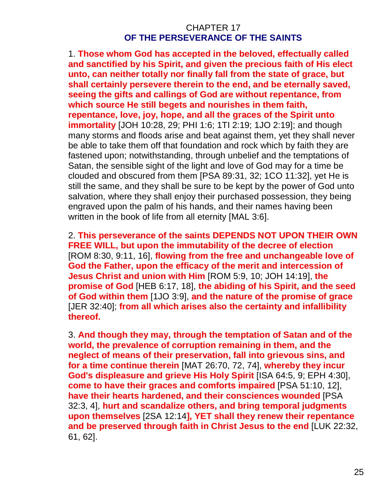#### CHAPTER 17 **OF THE PERSEVERANCE OF THE SAINTS**

1. **Those whom God has accepted in the beloved, effectually called and sanctified by his Spirit, and given the precious faith of His elect unto, can neither totally nor finally fall from the state of grace, but shall certainly persevere therein to the end, and be eternally saved, seeing the gifts and callings of God are without repentance, from which source He still begets and nourishes in them faith, repentance, love, joy, hope, and all the graces of the Spirit unto immortality** [JOH 10:28, 29; PHI 1:6; 1TI 2:19; 1JO 2:19]; and though many storms and floods arise and beat against them, yet they shall never be able to take them off that foundation and rock which by faith they are fastened upon; notwithstanding, through unbelief and the temptations of Satan, the sensible sight of the light and love of God may for a time be clouded and obscured from them [PSA 89:31, 32; 1CO 11:32], yet He is still the same, and they shall be sure to be kept by the power of God unto salvation, where they shall enjoy their purchased possession, they being engraved upon the palm of his hands, and their names having been written in the book of life from all eternity [MAL 3:6].

2. **This perseverance of the saints DEPENDS NOT UPON THEIR OWN FREE WILL, but upon the immutability of the decree of election** [ROM 8:30, 9:11, 16], **flowing from the free and unchangeable love of God the Father, upon the efficacy of the merit and intercession of Jesus Christ and union with Him** [ROM 5:9, 10; JOH 14:19], **the promise of God** [HEB 6:17, 18], **the abiding of his Spirit, and the seed of God within them** [1JO 3:9], **and the nature of the promise of grace** [JER 32:40]; **from all which arises also the certainty and infallibility thereof.**

3. **And though they may, through the temptation of Satan and of the world, the prevalence of corruption remaining in them, and the neglect of means of their preservation, fall into grievous sins, and for a time continue therein** [MAT 26:70, 72, 74], **whereby they incur God's displeasure and grieve His Holy Spirit** [ISA 64:5, 9; EPH 4:30], **come to have their graces and comforts impaired** [PSA 51:10, 12], **have their hearts hardened, and their consciences wounded** [PSA 32:3, 4], **hurt and scandalize others, and bring temporal judgments upon themselves** [2SA 12:14**], YET shall they renew their repentance and be preserved through faith in Christ Jesus to the end** [LUK 22:32, 61, 62].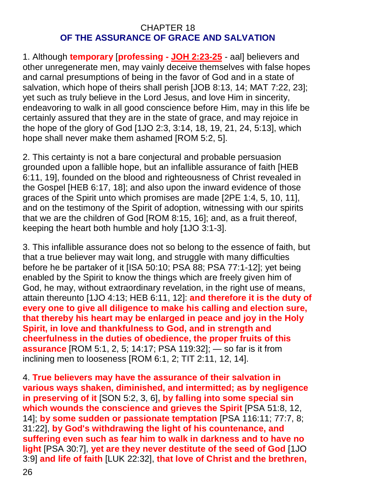#### CHAPTER 18 **OF THE ASSURANCE OF GRACE AND SALVATION**

1. Although **temporary** [**professing - JOH 2:23-25** - aal] believers and other unregenerate men, may vainly deceive themselves with false hopes and carnal presumptions of being in the favor of God and in a state of salvation, which hope of theirs shall perish [JOB 8:13, 14; MAT 7:22, 23]; yet such as truly believe in the Lord Jesus, and love Him in sincerity, endeavoring to walk in all good conscience before Him, may in this life be certainly assured that they are in the state of grace, and may rejoice in the hope of the glory of God [1JO 2:3, 3:14, 18, 19, 21, 24, 5:13], which hope shall never make them ashamed [ROM 5:2, 5].

2. This certainty is not a bare conjectural and probable persuasion grounded upon a fallible hope, but an infallible assurance of faith [HEB 6:11, 19], founded on the blood and righteousness of Christ revealed in the Gospel [HEB 6:17, 18]; and also upon the inward evidence of those graces of the Spirit unto which promises are made [2PE 1:4, 5, 10, 11], and on the testimony of the Spirit of adoption, witnessing with our spirits that we are the children of God [ROM 8:15, 16]; and, as a fruit thereof, keeping the heart both humble and holy [1JO 3:1-3].

3. This infallible assurance does not so belong to the essence of faith, but that a true believer may wait long, and struggle with many difficulties before he be partaker of it [ISA 50:10; PSA 88; PSA 77:1-12]; yet being enabled by the Spirit to know the things which are freely given him of God, he may, without extraordinary revelation, in the right use of means, attain thereunto [1JO 4:13; HEB 6:11, 12]: **and therefore it is the duty of every one to give all diligence to make his calling and election sure, that thereby his heart may be enlarged in peace and joy in the Holy Spirit, in love and thankfulness to God, and in strength and cheerfulness in the duties of obedience, the proper fruits of this assurance** [ROM 5:1, 2, 5; 14:17; PSA 119:32]; — so far is it from inclining men to looseness [ROM 6:1, 2; TIT 2:11, 12, 14].

4. **True believers may have the assurance of their salvation in various ways shaken, diminished, and intermitted; as by negligence in preserving of it** [SON 5:2, 3, 6]**, by falling into some special sin which wounds the conscience and grieves the Spirit** [PSA 51:8, 12, 14]; **by some sudden or passionate temptation** [PSA 116:11; 77:7, 8; 31:22], **by God's withdrawing the light of his countenance, and suffering even such as fear him to walk in darkness and to have no light** [PSA 30:7], **yet are they never destitute of the seed of God** [1JO 3:9] **and life of faith** [LUK 22:32], **that love of Christ and the brethren,**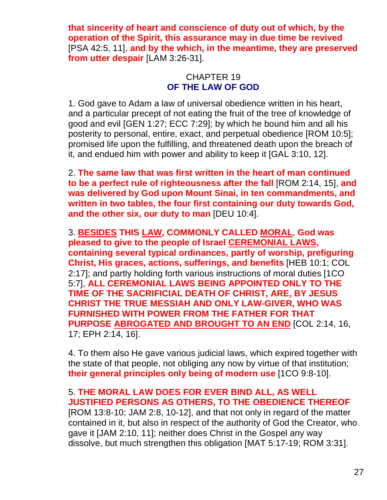**that sincerity of heart and conscience of duty out of which, by the operation of the Spirit, this assurance may in due time be revived** [PSA 42:5, 11], **and by the which, in the meantime, they are preserved from utter despair** [LAM 3:26-31].

#### CHAPTER 19 **OF THE LAW OF GOD**

1. God gave to Adam a law of universal obedience written in his heart, and a particular precept of not eating the fruit of the tree of knowledge of good and evil [GEN 1:27; ECC 7:29]; by which he bound him and all his posterity to personal, entire, exact, and perpetual obedience [ROM 10:5]; promised life upon the fulfilling, and threatened death upon the breach of it, and endued him with power and ability to keep it [GAL 3:10, 12].

2. **The same law that was first written in the heart of man continued to be a perfect rule of righteousness after the fall** [ROM 2:14, 15], **and was delivered by God upon Mount Sinai, in ten commandments, and written in two tables, the four first containing our duty towards God, and the other six, our duty to man** [DEU 10:4].

3. **BESIDES THIS LAW, COMMONLY CALLED MORAL**, **God was pleased to give to the people of Israel CEREMONIAL LAWS, containing several typical ordinances, partly of worship, prefiguring Christ, His graces, actions, sufferings, and benefits** [HEB 10:1; COL 2:17]; and partly holding forth various instructions of moral duties [1CO 5:7], **ALL CEREMONIAL LAWS BEING APPOINTED ONLY TO THE TIME OF THE SACRIFICIAL DEATH OF CHRIST, ARE, BY JESUS CHRIST THE TRUE MESSIAH AND ONLY LAW-GIVER, WHO WAS FURNISHED WITH POWER FROM THE FATHER FOR THAT PURPOSE ABROGATED AND BROUGHT TO AN END** [COL 2:14, 16, 17; EPH 2:14, 16].

4. To them also He gave various judicial laws, which expired together with the state of that people, not obliging any now by virtue of that institution; **their general principles only being of modern use** [1CO 9:8-10].

# 5. **THE MORAL LAW DOES FOR EVER BIND ALL, AS WELL JUSTIFIED PERSONS AS OTHERS, TO THE OBEDIENCE THEREOF**

[ROM 13:8-10; JAM 2:8, 10-12], and that not only in regard of the matter contained in it, but also in respect of the authority of God the Creator, who gave it [JAM 2:10, 11]; neither does Christ in the Gospel any way dissolve, but much strengthen this obligation [MAT 5:17-19; ROM 3:31].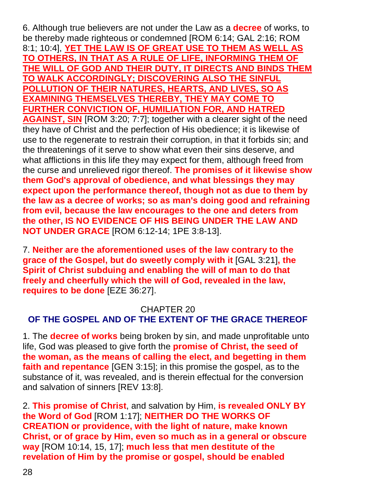6. Although true believers are not under the Law as a **decree** of works, to be thereby made righteous or condemned [ROM 6:14; GAL 2:16; ROM 8:1; 10:4], **YET THE LAW IS OF GREAT USE TO THEM AS WELL AS TO OTHERS, IN THAT AS A RULE OF LIFE, INFORMING THEM OF THE WILL OF GOD AND THEIR DUTY, IT DIRECTS AND BINDS THEM TO WALK ACCORDINGLY; DISCOVERING ALSO THE SINFUL POLLUTION OF THEIR NATURES, HEARTS, AND LIVES, SO AS EXAMINING THEMSELVES THEREBY, THEY MAY COME TO FURTHER CONVICTION OF, HUMILIATION FOR, AND HATRED AGAINST, SIN** [ROM 3:20; 7:7]; together with a clearer sight of the need they have of Christ and the perfection of His obedience; it is likewise of use to the regenerate to restrain their corruption, in that it forbids sin; and the threatenings of it serve to show what even their sins deserve, and what afflictions in this life they may expect for them, although freed from the curse and unrelieved rigor thereof. **The promises of it likewise show them God's approval of obedience, and what blessings they may expect upon the performance thereof, though not as due to them by the law as a decree of works; so as man's doing good and refraining from evil, because the law encourages to the one and deters from the other, IS NO EVIDENCE OF HIS BEING UNDER THE LAW AND NOT UNDER GRACE** [ROM 6:12-14; 1PE 3:8-13].

7. **Neither are the aforementioned uses of the law contrary to the grace of the Gospel, but do sweetly comply with it** [GAL 3:21]**, the Spirit of Christ subduing and enabling the will of man to do that freely and cheerfully which the will of God, revealed in the law, requires to be done** [EZE 36:27].

#### CHAPTER 20 **OF THE GOSPEL AND OF THE EXTENT OF THE GRACE THEREOF**

1. The **decree of works** being broken by sin, and made unprofitable unto life, God was pleased to give forth the **promise of Christ, the seed of the woman, as the means of calling the elect, and begetting in them faith and repentance** [GEN 3:15]; in this promise the gospel, as to the substance of it, was revealed, and is therein effectual for the conversion and salvation of sinners [REV 13:8].

2. **This promise of Christ**, and salvation by Him, **is revealed ONLY BY the Word of God** [ROM 1:17]; **NEITHER DO THE WORKS OF CREATION or providence, with the light of nature, make known Christ, or of grace by Him, even so much as in a general or obscure way** [ROM 10:14, 15, 17]; **much less that men destitute of the revelation of Him by the promise or gospel, should be enabled**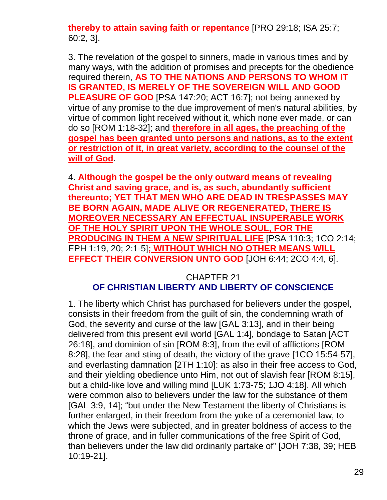**thereby to attain saving faith or repentance** [PRO 29:18; ISA 25:7; 60:2, 3].

3. The revelation of the gospel to sinners, made in various times and by many ways, with the addition of promises and precepts for the obedience required therein, **AS TO THE NATIONS AND PERSONS TO WHOM IT IS GRANTED, IS MERELY OF THE SOVEREIGN WILL AND GOOD PLEASURE OF GOD** [PSA 147:20; ACT 16:7]; not being annexed by virtue of any promise to the due improvement of men's natural abilities, by virtue of common light received without it, which none ever made, or can do so [ROM 1:18-32]; and **therefore in all ages, the preaching of the gospel has been granted unto persons and nations, as to the extent or restriction of it, in great variety, according to the counsel of the will of God**.

4. **Although the gospel be the only outward means of revealing Christ and saving grace, and is, as such, abundantly sufficient thereunto; YET THAT MEN WHO ARE DEAD IN TRESPASSES MAY BE BORN AGAIN, MADE ALIVE OR REGENERATED, THERE IS MOREOVER NECESSARY AN EFFECTUAL INSUPERABLE WORK OF THE HOLY SPIRIT UPON THE WHOLE SOUL, FOR THE PRODUCING IN THEM A NEW SPIRITUAL LIFE** [PSA 110:3; 1CO 2:14; EPH 1:19, 20; 2:1-5]**; WITHOUT WHICH NO OTHER MEANS WILL EFFECT THEIR CONVERSION UNTO GOD** [JOH 6:44; 2CO 4:4, 6].

# CHAPTER 21 **OF CHRISTIAN LIBERTY AND LIBERTY OF CONSCIENCE**

1. The liberty which Christ has purchased for believers under the gospel, consists in their freedom from the guilt of sin, the condemning wrath of God, the severity and curse of the law [GAL 3:13], and in their being delivered from this present evil world [GAL 1:4], bondage to Satan [ACT 26:18], and dominion of sin [ROM 8:3], from the evil of afflictions [ROM 8:28], the fear and sting of death, the victory of the grave [1CO 15:54-57], and everlasting damnation [2TH 1:10]: as also in their free access to God, and their yielding obedience unto Him, not out of slavish fear [ROM 8:15], but a child-like love and willing mind [LUK 1:73-75; 1JO 4:18]. All which were common also to believers under the law for the substance of them [GAL 3:9, 14]; "but under the New Testament the liberty of Christians is further enlarged, in their freedom from the yoke of a ceremonial law, to which the Jews were subjected, and in greater boldness of access to the throne of grace, and in fuller communications of the free Spirit of God, than believers under the law did ordinarily partake of" [JOH 7:38, 39; HEB 10:19-21].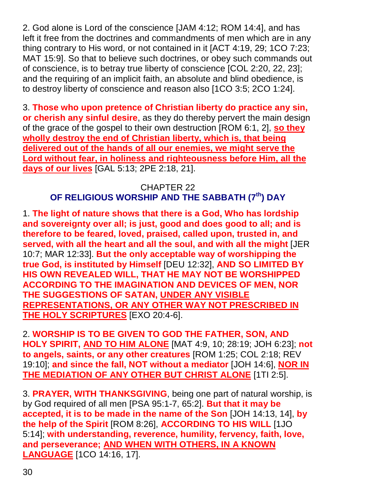2. God alone is Lord of the conscience [JAM 4:12; ROM 14:4], and has left it free from the doctrines and commandments of men which are in any thing contrary to His word, or not contained in it [ACT 4:19, 29; 1CO 7:23; MAT 15:9]. So that to believe such doctrines, or obey such commands out of conscience, is to betray true liberty of conscience [COL 2:20, 22, 23]; and the requiring of an implicit faith, an absolute and blind obedience, is to destroy liberty of conscience and reason also [1CO 3:5; 2CO 1:24].

3. **Those who upon pretence of Christian liberty do practice any sin, or cherish any sinful desire**, as they do thereby pervert the main design of the grace of the gospel to their own destruction [ROM 6:1, 2], **so they wholly destroy the end of Christian liberty, which is, that being delivered out of the hands of all our enemies, we might serve the Lord without fear, in holiness and righteousness before Him, all the days of our lives** [GAL 5:13; 2PE 2:18, 21].

#### CHAPTER 22 **OF RELIGIOUS WORSHIP AND THE SABBATH (7th) DAY**

1. **The light of nature shows that there is a God, Who has lordship and sovereignty over all; is just, good and does good to all; and is therefore to be feared, loved, praised, called upon, trusted in, and served, with all the heart and all the soul, and with all the might** [JER 10:7; MAR 12:33]. **But the only acceptable way of worshipping the true God, is instituted by Himself** [DEU 12:32], **AND SO LIMITED BY HIS OWN REVEALED WILL, THAT HE MAY NOT BE WORSHIPPED ACCORDING TO THE IMAGINATION AND DEVICES OF MEN, NOR THE SUGGESTIONS OF SATAN, UNDER ANY VISIBLE REPRESENTATIONS, OR ANY OTHER WAY NOT PRESCRIBED IN THE HOLY SCRIPTURES** [EXO 20:4-6].

2. **WORSHIP IS TO BE GIVEN TO GOD THE FATHER, SON, AND HOLY SPIRIT, AND TO HIM ALONE** [MAT 4:9, 10; 28:19; JOH 6:23]; **not to angels, saints, or any other creatures** [ROM 1:25; COL 2:18; REV 19:10]; **and since the fall, NOT without a mediator** [JOH 14:6], **NOR IN THE MEDIATION OF ANY OTHER BUT CHRIST ALONE** [1TI 2:5].

3. **PRAYER, WITH THANKSGIVING**, being one part of natural worship, is by God required of all men [PSA 95:1-7, 65:2]. **But that it may be accepted, it is to be made in the name of the Son** [JOH 14:13, 14], **by the help of the Spirit** [ROM 8:26], **ACCORDING TO HIS WILL** [1JO 5:14]; **with understanding, reverence, humility, fervency, faith, love, and perseverance; AND WHEN WITH OTHERS, IN A KNOWN LANGUAGE** [1CO 14:16, 17].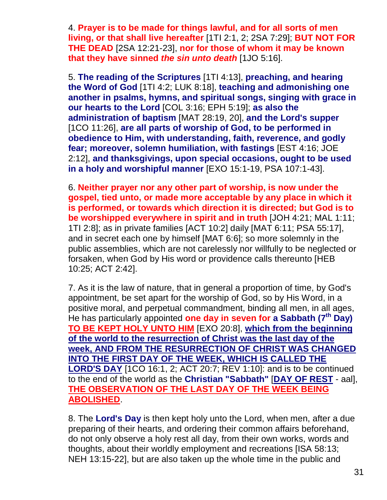4. **Prayer is to be made for things lawful, and for all sorts of men living, or that shall live hereafter** [1TI 2:1, 2; 2SA 7:29]; **BUT NOT FOR THE DEAD** [2SA 12:21-23], **nor for those of whom it may be known that they have sinned** *the sin unto death* [1JO 5:16].

5. **The reading of the Scriptures** [1TI 4:13], **preaching, and hearing the Word of God** [1TI 4:2; LUK 8:18], **teaching and admonishing one another in psalms, hymns, and spiritual songs, singing with grace in our hearts to the Lord** [COL 3:16; EPH 5:19]; **as also the administration of baptism** [MAT 28:19, 20], **and the Lord's supper** [1CO 11:26], **are all parts of worship of God, to be performed in obedience to Him, with understanding, faith, reverence, and godly fear; moreover, solemn humiliation, with fastings** [EST 4:16; JOE 2:12], **and thanksgivings, upon special occasions, ought to be used in a holy and worshipful manner** [EXO 15:1-19, PSA 107:1-43].

6. **Neither prayer nor any other part of worship, is now under the gospel, tied unto, or made more acceptable by any place in which it is performed, or towards which direction it is directed; but God is to be worshipped everywhere in spirit and in truth** [JOH 4:21; MAL 1:11; 1TI 2:8]; as in private families [ACT 10:2] daily [MAT 6:11; PSA 55:17], and in secret each one by himself [MAT 6:6]; so more solemnly in the public assemblies, which are not carelessly nor willfully to be neglected or forsaken, when God by His word or providence calls thereunto [HEB 10:25; ACT 2:42].

7. As it is the law of nature, that in general a proportion of time, by God's appointment, be set apart for the worship of God, so by His Word, in a positive moral, and perpetual commandment, binding all men, in all ages, He has particularly appointed **one day in seven for a Sabbath (7th Day) TO BE KEPT HOLY UNTO HIM** [EXO 20:8], **which from the beginning of the world to the resurrection of Christ was the last day of the week, AND FROM THE RESURRECTION OF CHRIST WAS CHANGED INTO THE FIRST DAY OF THE WEEK, WHICH IS CALLED THE LORD'S DAY** [1CO 16:1, 2; ACT 20:7; REV 1:10]: and is to be continued to the end of the world as the **Christian "Sabbath"** [**DAY OF REST** - aal], **THE OBSERVATION OF THE LAST DAY OF THE WEEK BEING ABOLISHED**.

8. The **Lord's Day** is then kept holy unto the Lord, when men, after a due preparing of their hearts, and ordering their common affairs beforehand, do not only observe a holy rest all day, from their own works, words and thoughts, about their worldly employment and recreations [ISA 58:13; NEH 13:15-22], but are also taken up the whole time in the public and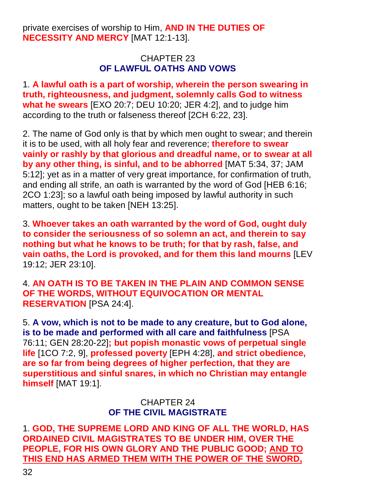private exercises of worship to Him, **AND IN THE DUTIES OF NECESSITY AND MERCY** [MAT 12:1-13].

#### CHAPTER 23 **OF LAWFUL OATHS AND VOWS**

1. **A lawful oath is a part of worship, wherein the person swearing in truth, righteousness, and judgment, solemnly calls God to witness what he swears** [EXO 20:7; DEU 10:20; JER 4:2], and to judge him according to the truth or falseness thereof [2CH 6:22, 23].

2. The name of God only is that by which men ought to swear; and therein it is to be used, with all holy fear and reverence; **therefore to swear vainly or rashly by that glorious and dreadful name, or to swear at all by any other thing, is sinful, and to be abhorred** [MAT 5:34, 37; JAM 5:12]; yet as in a matter of very great importance, for confirmation of truth, and ending all strife, an oath is warranted by the word of God [HEB 6:16; 2CO 1:23]; so a lawful oath being imposed by lawful authority in such matters, ought to be taken [NEH 13:25].

3. **Whoever takes an oath warranted by the word of God, ought duly to consider the seriousness of so solemn an act, and therein to say nothing but what he knows to be truth; for that by rash, false, and vain oaths, the Lord is provoked, and for them this land mourns** [LEV 19:12; JER 23:10].

4. **AN OATH IS TO BE TAKEN IN THE PLAIN AND COMMON SENSE OF THE WORDS, WITHOUT EQUIVOCATION OR MENTAL RESERVATION** [PSA 24:4].

5. **A vow, which is not to be made to any creature, but to God alone, is to be made and performed with all care and faithfulness** [PSA 76:11; GEN 28:20-22]**; but popish monastic vows of perpetual single life** [1CO 7:2, 9], **professed poverty** [EPH 4:28], **and strict obedience, are so far from being degrees of higher perfection, that they are superstitious and sinful snares, in which no Christian may entangle himself** [MAT 19:1].

# CHAPTER 24 **OF THE CIVIL MAGISTRATE**

1. **GOD, THE SUPREME LORD AND KING OF ALL THE WORLD, HAS ORDAINED CIVIL MAGISTRATES TO BE UNDER HIM, OVER THE PEOPLE, FOR HIS OWN GLORY AND THE PUBLIC GOOD; AND TO THIS END HAS ARMED THEM WITH THE POWER OF THE SWORD,**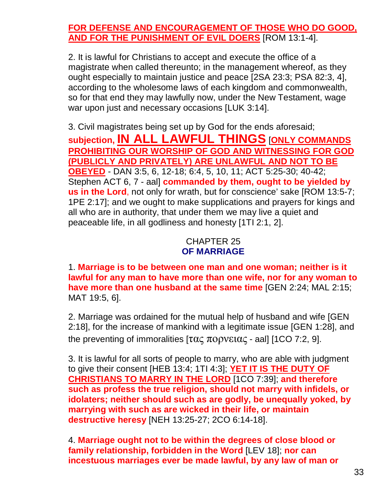# **FOR DEFENSE AND ENCOURAGEMENT OF THOSE WHO DO GOOD, AND FOR THE PUNISHMENT OF EVIL DOERS** [ROM 13:1-4].

2. It is lawful for Christians to accept and execute the office of a magistrate when called thereunto; in the management whereof, as they ought especially to maintain justice and peace [2SA 23:3; PSA 82:3, 4], according to the wholesome laws of each kingdom and commonwealth, so for that end they may lawfully now, under the New Testament, wage war upon just and necessary occasions [LUK 3:14].

3. Civil magistrates being set up by God for the ends aforesaid; **subjection, IN ALL LAWFUL THINGS** [**ONLY COMMANDS PROHIBITING OUR WORSHIP OF GOD AND WITNESSING FOR GOD (PUBLICLY AND PRIVATELY) ARE UNLAWFUL AND NOT TO BE OBEYED** - DAN 3:5, 6, 12-18; 6:4, 5, 10, 11; ACT 5:25-30; 40-42; Stephen ACT 6, 7 - aal] **commanded by them, ought to be yielded by us in the Lord**, not only for wrath, but for conscience' sake [ROM 13:5-7; 1PE 2:17]; and we ought to make supplications and prayers for kings and all who are in authority, that under them we may live a quiet and peaceable life, in all godliness and honesty [1TI 2:1, 2].

#### CHAPTER 25 **OF MARRIAGE**

1. **Marriage is to be between one man and one woman; neither is it lawful for any man to have more than one wife, nor for any woman to have more than one husband at the same time** [GEN 2:24; MAL 2:15; MAT 19:5, 6].

2. Marriage was ordained for the mutual help of husband and wife [GEN 2:18], for the increase of mankind with a legitimate issue [GEN 1:28], and the preventing of immoralities  $[\tau\alpha\zeta\pi\partial\rho\gamma\epsilon\iota\alpha\zeta\cdot\alpha\alpha]$  [1CO 7:2, 9].

3. It is lawful for all sorts of people to marry, who are able with judgment to give their consent [HEB 13:4; 1TI 4:3]; **YET IT IS THE DUTY OF CHRISTIANS TO MARRY IN THE LORD** [1CO 7:39]; **and therefore such as profess the true religion, should not marry with infidels, or idolaters; neither should such as are godly, be unequally yoked, by marrying with such as are wicked in their life, or maintain destructive heresy** [NEH 13:25-27; 2CO 6:14-18].

4. **Marriage ought not to be within the degrees of close blood or family relationship, forbidden in the Word** [LEV 18]; **nor can incestuous marriages ever be made lawful, by any law of man or**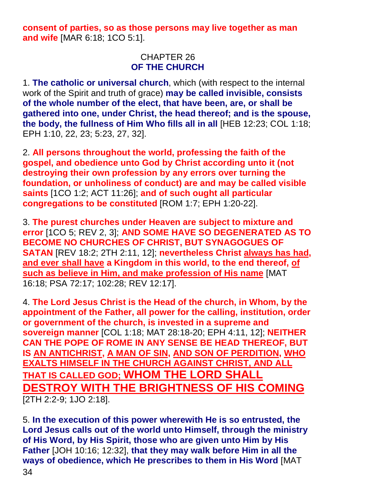**consent of parties, so as those persons may live together as man and wife** [MAR 6:18; 1CO 5:1].

#### CHAPTER 26 **OF THE CHURCH**

1. **The catholic or universal church**, which (with respect to the internal work of the Spirit and truth of grace) **may be called invisible, consists of the whole number of the elect, that have been, are, or shall be gathered into one, under Christ, the head thereof; and is the spouse, the body, the fullness of Him Who fills all in all** [HEB 12:23; COL 1:18; EPH 1:10, 22, 23; 5:23, 27, 32].

2. **All persons throughout the world, professing the faith of the gospel, and obedience unto God by Christ according unto it (not destroying their own profession by any errors over turning the foundation, or unholiness of conduct) are and may be called visible saints** [1CO 1:2; ACT 11:26]; **and of such ought all particular congregations to be constituted** [ROM 1:7; EPH 1:20-22].

3. **The purest churches under Heaven are subject to mixture and error** [1CO 5; REV 2, 3]; **AND SOME HAVE SO DEGENERATED AS TO BECOME NO CHURCHES OF CHRIST, BUT SYNAGOGUES OF SATAN** [REV 18:2; 2TH 2:11, 12]; **nevertheless Christ always has had, and ever shall have a Kingdom in this world, to the end thereof, of such as believe in Him, and make profession of His name** [MAT 16:18; PSA 72:17; 102:28; REV 12:17].

4. **The Lord Jesus Christ is the Head of the church, in Whom, by the appointment of the Father, all power for the calling, institution, order or government of the church, is invested in a supreme and sovereign manner** [COL 1:18; MAT 28:18-20; EPH 4:11, 12]; **NEITHER CAN THE POPE OF ROME IN ANY SENSE BE HEAD THEREOF, BUT IS AN ANTICHRIST, A MAN OF SIN, AND SON OF PERDITION, WHO EXALTS HIMSELF IN THE CHURCH AGAINST CHRIST, AND ALL THAT IS CALLED GOD; WHOM THE LORD SHALL DESTROY WITH THE BRIGHTNESS OF HIS COMING** [2TH 2:2-9; 1JO 2:18].

5. **In the execution of this power wherewith He is so entrusted, the Lord Jesus calls out of the world unto Himself, through the ministry of His Word, by His Spirit, those who are given unto Him by His Father** [JOH 10:16; 12:32], **that they may walk before Him in all the ways of obedience, which He prescribes to them in His Word** [MAT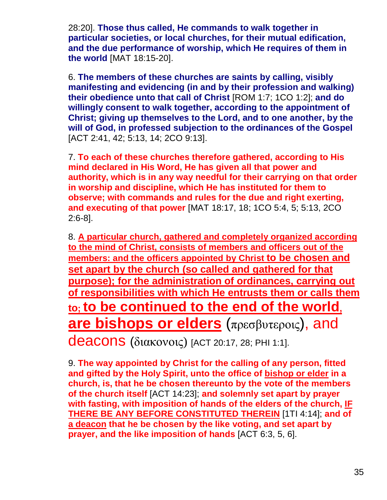28:20]. **Those thus called, He commands to walk together in particular societies, or local churches, for their mutual edification, and the due performance of worship, which He requires of them in the world** [MAT 18:15-20].

6. **The members of these churches are saints by calling, visibly manifesting and evidencing (in and by their profession and walking) their obedience unto that call of Christ** [ROM 1:7; 1CO 1:2]; **and do willingly consent to walk together, according to the appointment of Christ; giving up themselves to the Lord, and to one another, by the will of God, in professed subjection to the ordinances of the Gospel** [ACT 2:41, 42; 5:13, 14; 2CO 9:13].

7. **To each of these churches therefore gathered, according to His mind declared in His Word, He has given all that power and authority, which is in any way needful for their carrying on that order in worship and discipline, which He has instituted for them to observe; with commands and rules for the due and right exerting, and executing of that power** [MAT 18:17, 18; 1CO 5:4, 5; 5:13, 2CO 2:6-8].

8. **A particular church, gathered and completely organized according to the mind of Christ, consists of members and officers out of the members: and the officers appointed by Christ to be chosen and set apart by the church (so called and gathered for that purpose); for the administration of ordinances, carrying out of responsibilities with which He entrusts them or calls them to; to be continued to the end of the world, are bishops or elders** (πρεσβυτεροις), and deacons (διακονοις) [ACT 20:17, 28; PHI 1:1].

9. **The way appointed by Christ for the calling of any person, fitted and gifted by the Holy Spirit, unto the office of bishop or elder in a church, is, that he be chosen thereunto by the vote of the members of the church itself** [ACT 14:23]; **and solemnly set apart by prayer with fasting, with imposition of hands of the elders of the church, IF THERE BE ANY BEFORE CONSTITUTED THEREIN** [1TI 4:14]; **and of a deacon that he be chosen by the like voting, and set apart by prayer, and the like imposition of hands** [ACT 6:3, 5, 6].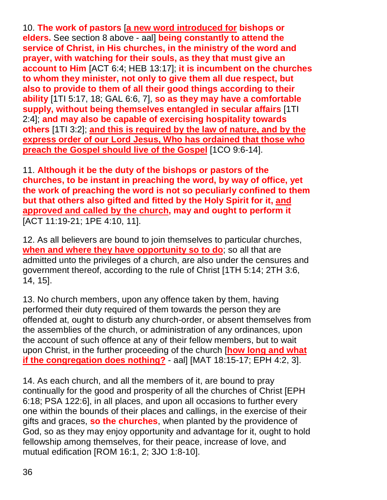10. **The work of pastors** [**a new word introduced for bishops or elders.** See section 8 above - aal] **being constantly to attend the service of Christ, in His churches, in the ministry of the word and prayer, with watching for their souls, as they that must give an account to Him** [ACT 6:4; HEB 13:17]; **it is incumbent on the churches to whom they minister, not only to give them all due respect, but also to provide to them of all their good things according to their ability** [1TI 5:17, 18; GAL 6:6, 7], **so as they may have a comfortable supply, without being themselves entangled in secular affairs** [1TI 2:4]; **and may also be capable of exercising hospitality towards others** [1TI 3:2]; **and this is required by the law of nature, and by the express order of our Lord Jesus, Who has ordained that those who preach the Gospel should live of the Gospel** [1CO 9:6-14].

11. **Although it be the duty of the bishops or pastors of the churches, to be instant in preaching the word, by way of office, yet the work of preaching the word is not so peculiarly confined to them but that others also gifted and fitted by the Holy Spirit for it, and approved and called by the church, may and ought to perform it** [ACT 11:19-21; 1PE 4:10, 11].

12. As all believers are bound to join themselves to particular churches, **when and where they have opportunity so to do**; so all that are admitted unto the privileges of a church, are also under the censures and government thereof, according to the rule of Christ [1TH 5:14; 2TH 3:6, 14, 15].

13. No church members, upon any offence taken by them, having performed their duty required of them towards the person they are offended at, ought to disturb any church-order, or absent themselves from the assemblies of the church, or administration of any ordinances, upon the account of such offence at any of their fellow members, but to wait upon Christ, in the further proceeding of the church [**how long and what if the congregation does nothing?** - aal] [MAT 18:15-17; EPH 4:2, 3].

14. As each church, and all the members of it, are bound to pray continually for the good and prosperity of all the churches of Christ [EPH 6:18; PSA 122:6], in all places, and upon all occasions to further every one within the bounds of their places and callings, in the exercise of their gifts and graces, **so the churches**, when planted by the providence of God, so as they may enjoy opportunity and advantage for it, ought to hold fellowship among themselves, for their peace, increase of love, and mutual edification [ROM 16:1, 2; 3JO 1:8-10].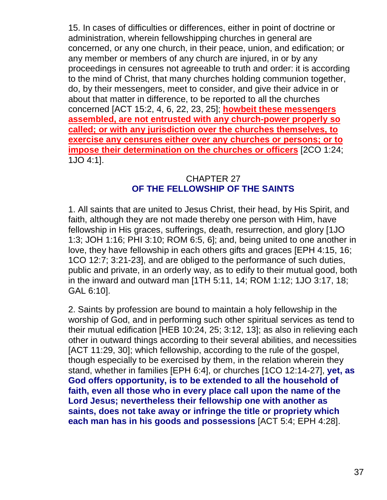15. In cases of difficulties or differences, either in point of doctrine or administration, wherein fellowshipping churches in general are concerned, or any one church, in their peace, union, and edification; or any member or members of any church are injured, in or by any proceedings in censures not agreeable to truth and order: it is according to the mind of Christ, that many churches holding communion together, do, by their messengers, meet to consider, and give their advice in or about that matter in difference, to be reported to all the churches concerned [ACT 15:2, 4, 6, 22, 23, 25]; **howbeit these messengers assembled, are not entrusted with any church-power properly so called; or with any jurisdiction over the churches themselves, to exercise any censures either over any churches or persons; or to impose their determination on the churches or officers** [2CO 1:24; 1JO 4:1].

#### CHAPTER 27 **OF THE FELLOWSHIP OF THE SAINTS**

1. All saints that are united to Jesus Christ, their head, by His Spirit, and faith, although they are not made thereby one person with Him, have fellowship in His graces, sufferings, death, resurrection, and glory [1JO 1:3; JOH 1:16; PHI 3:10; ROM 6:5, 6]; and, being united to one another in love, they have fellowship in each others gifts and graces [EPH 4:15, 16; 1CO 12:7; 3:21-23], and are obliged to the performance of such duties, public and private, in an orderly way, as to edify to their mutual good, both in the inward and outward man [1TH 5:11, 14; ROM 1:12; 1JO 3:17, 18; GAL 6:10].

2. Saints by profession are bound to maintain a holy fellowship in the worship of God, and in performing such other spiritual services as tend to their mutual edification [HEB 10:24, 25; 3:12, 13]; as also in relieving each other in outward things according to their several abilities, and necessities [ACT 11:29, 30]; which fellowship, according to the rule of the gospel, though especially to be exercised by them, in the relation wherein they stand, whether in families [EPH 6:4], or churches [1CO 12:14-27], **yet, as God offers opportunity, is to be extended to all the household of faith, even all those who in every place call upon the name of the Lord Jesus; nevertheless their fellowship one with another as saints, does not take away or infringe the title or propriety which each man has in his goods and possessions** [ACT 5:4; EPH 4:28].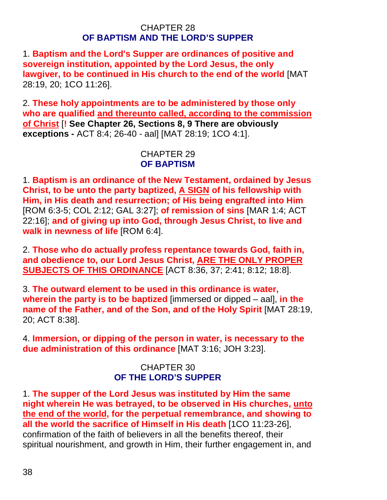#### CHAPTER 28 **OF BAPTISM AND THE LORD'S SUPPER**

1. **Baptism and the Lord's Supper are ordinances of positive and sovereign institution, appointed by the Lord Jesus, the only lawgiver, to be continued in His church to the end of the world** [MAT 28:19, 20; 1CO 11:26].

2. **These holy appointments are to be administered by those only who are qualified and thereunto called, according to the commission of Christ** [**! See Chapter 26, Sections 8, 9 There are obviously exceptions -** ACT 8:4; 26-40 - aal] [MAT 28:19; 1CO 4:1].

## CHAPTER 29 **OF BAPTISM**

1. **Baptism is an ordinance of the New Testament, ordained by Jesus Christ, to be unto the party baptized, A SIGN of his fellowship with Him, in His death and resurrection; of His being engrafted into Him** [ROM 6:3-5; COL 2:12; GAL 3:27]; **of remission of sins** [MAR 1:4; ACT 22:16]; **and of giving up into God, through Jesus Christ, to live and walk in newness of life** [ROM 6:4].

2. **Those who do actually profess repentance towards God, faith in, and obedience to, our Lord Jesus Christ, ARE THE ONLY PROPER SUBJECTS OF THIS ORDINANCE** [ACT 8:36, 37; 2:41; 8:12; 18:8].

3. **The outward element to be used in this ordinance is water, wherein the party is to be baptized** [immersed or dipped – aal], **in the name of the Father, and of the Son, and of the Holy Spirit** [MAT 28:19, 20; ACT 8:38].

4. **Immersion, or dipping of the person in water, is necessary to the due administration of this ordinance** [MAT 3:16; JOH 3:23].

# CHAPTER 30 **OF THE LORD'S SUPPER**

1. **The supper of the Lord Jesus was instituted by Him the same night wherein He was betrayed, to be observed in His churches, unto the end of the world, for the perpetual remembrance, and showing to all the world the sacrifice of Himself in His death** [1CO 11:23-26], confirmation of the faith of believers in all the benefits thereof, their spiritual nourishment, and growth in Him, their further engagement in, and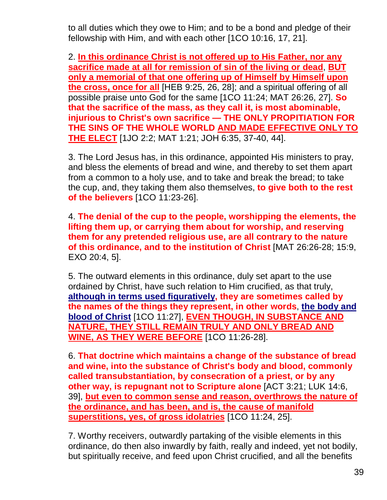to all duties which they owe to Him; and to be a bond and pledge of their fellowship with Him, and with each other [1CO 10:16, 17, 21].

2. **In this ordinance Christ is not offered up to His Father, nor any sacrifice made at all for remission of sin of the living or dead**, **BUT only a memorial of that one offering up of Himself by Himself upon the cross, once for all** [HEB 9:25, 26, 28]; and a spiritual offering of all possible praise unto God for the same [1CO 11:24; MAT 26:26, 27]. **So that the sacrifice of the mass, as they call it, is most abominable, injurious to Christ's own sacrifice — THE ONLY PROPITIATION FOR THE SINS OF THE WHOLE WORLD AND MADE EFFECTIVE ONLY TO THE ELECT** [1JO 2:2; MAT 1:21; JOH 6:35, 37-40, 44].

3. The Lord Jesus has, in this ordinance, appointed His ministers to pray, and bless the elements of bread and wine, and thereby to set them apart from a common to a holy use, and to take and break the bread; to take the cup, and, they taking them also themselves, **to give both to the rest of the believers** [1CO 11:23-26].

4. **The denial of the cup to the people, worshipping the elements, the lifting them up, or carrying them about for worship, and reserving them for any pretended religious use, are all contrary to the nature of this ordinance, and to the institution of Christ** [MAT 26:26-28; 15:9, EXO 20:4, 5].

5. The outward elements in this ordinance, duly set apart to the use ordained by Christ, have such relation to Him crucified, as that truly, **although in terms used figuratively, they are sometimes called by the names of the things they represent, in other words**, **the body and blood of Christ** [1CO 11:27], **EVEN THOUGH, IN SUBSTANCE AND NATURE, THEY STILL REMAIN TRULY AND ONLY BREAD AND WINE, AS THEY WERE BEFORE** [1CO 11:26-28].

6. **That doctrine which maintains a change of the substance of bread and wine, into the substance of Christ's body and blood, commonly called transubstantiation, by consecration of a priest, or by any other way, is repugnant not to Scripture alone** [ACT 3:21; LUK 14:6, 39], **but even to common sense and reason, overthrows the nature of the ordinance, and has been, and is, the cause of manifold superstitions, yes, of gross idolatries** [1CO 11:24, 25].

7. Worthy receivers, outwardly partaking of the visible elements in this ordinance, do then also inwardly by faith, really and indeed, yet not bodily, but spiritually receive, and feed upon Christ crucified, and all the benefits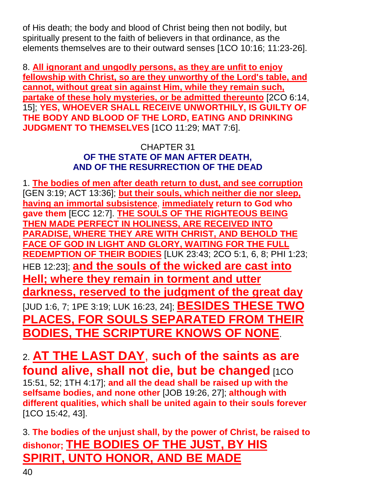of His death; the body and blood of Christ being then not bodily, but spiritually present to the faith of believers in that ordinance, as the elements themselves are to their outward senses [1CO 10:16; 11:23-26].

8. **All ignorant and ungodly persons, as they are unfit to enjoy fellowship with Christ, so are they unworthy of the Lord's table, and cannot, without great sin against Him, while they remain such, partake of these holy mysteries, or be admitted thereunto** [2CO 6:14, 15]; **YES, WHOEVER SHALL RECEIVE UNWORTHILY, IS GUILTY OF THE BODY AND BLOOD OF THE LORD, EATING AND DRINKING JUDGMENT TO THEMSELVES** [1CO 11:29; MAT 7:6].

## CHAPTER 31 **OF THE STATE OF MAN AFTER DEATH, AND OF THE RESURRECTION OF THE DEAD**

1. **The bodies of men after death return to dust, and see corruption** [GEN 3:19; ACT 13:36]; **but their souls, which neither die nor sleep, having an immortal subsistence**, **immediately return to God who gave them** [ECC 12:7]. **THE SOULS OF THE RIGHTEOUS BEING THEN MADE PERFECT IN HOLINESS, ARE RECEIVED INTO PARADISE, WHERE THEY ARE WITH CHRIST, AND BEHOLD THE FACE OF GOD IN LIGHT AND GLORY, WAITING FOR THE FULL REDEMPTION OF THEIR BODIES** [LUK 23:43; 2CO 5:1, 6, 8; PHI 1:23; HEB 12:23]; **and the souls of the wicked are cast into Hell; where they remain in torment and utter darkness, reserved to the judgment of the great day** [JUD 1:6, 7; 1PE 3:19; LUK 16:23, 24]; **BESIDES THESE TWO PLACES, FOR SOULS SEPARATED FROM THEIR BODIES, THE SCRIPTURE KNOWS OF NONE**.

2. **AT THE LAST DAY**, **such of the saints as are found alive, shall not die, but be changed** [1CO 15:51, 52; 1TH 4:17]; **and all the dead shall be raised up with the selfsame bodies, and none other** [JOB 19:26, 27]; **although with different qualities, which shall be united again to their souls forever** [1CO 15:42, 43].

3. **The bodies of the unjust shall, by the power of Christ, be raised to dishonor; THE BODIES OF THE JUST, BY HIS SPIRIT, UNTO HONOR, AND BE MADE**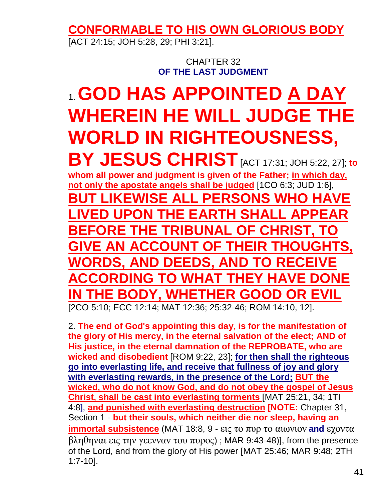**CONFORMABLE TO HIS OWN GLORIOUS BODY**

[ACT 24:15; JOH 5:28, 29; PHI 3:21].

CHAPTER 32 **OF THE LAST JUDGMENT**

# 1. **GOD HAS APPOINTED A DAY WHEREIN HE WILL JUDGE THE WORLD IN RIGHTEOUSNESS,**

**BY JESUS CHRIST**[ACT 17:31; JOH 5:22, 27]; **to whom all power and judgment is given of the Father; in which day, not only the apostate angels shall be judged** [1CO 6:3; JUD 1:6], **BUT LIKEWISE ALL PERSONS WHO HAVE LIGIBLE POINT THE EARTH SH BEFORE THE TRIBUNAL OF CHRIST, TO GIVE AN ACCOUNT OF THEIR THOUGHTS, WORDS, AND DEEDS, AND TO RECEIVE ACCORDING TO WHAT THEY HAVE DONE IN THE BODY, WHETHER GOOD OR EVIL** [2CO 5:10; ECC 12:14; MAT 12:36; 25:32-46; ROM 14:10, 12].

2. **The end of God's appointing this day, is for the manifestation of the glory of His mercy, in the eternal salvation of the elect; AND of His justice, in the eternal damnation of the REPROBATE, who are wicked and disobedient** [ROM 9:22, 23]; **for then shall the righteous go into everlasting life, and receive that fullness of joy and glory with everlasting rewards, in the presence of the Lord; BUT the wicked, who do not know God, and do not obey the gospel of Jesus Christ, shall be cast into everlasting torments** [MAT 25:21, 34; 1TI 4:8], **and punished with everlasting destruction [NOTE:** Chapter 31, Section 1 - **but their souls, which neither die nor sleep, having an immortal subsistence** (MAT 18:8, 9 - εις το πυρ το αιωνιον **and** εχοντα βληθηναι εις την γεενναν του πυρος) ; MAR 9:43-48)], from the presence of the Lord, and from the glory of His power [MAT 25:46; MAR 9:48; 2TH 1:7-10].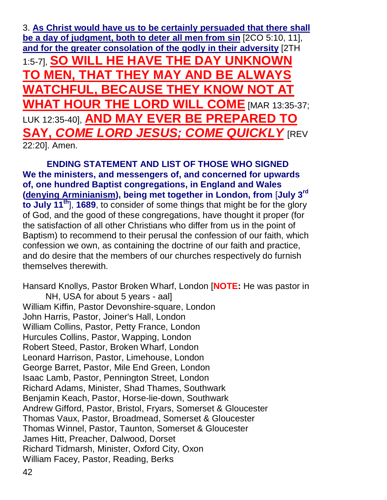3. **As Christ would have us to be certainly persuaded that there shall be a day of judgment, both to deter all men from sin** [2CO 5:10, 11], **and for the greater consolation of the godly in their adversity** [2TH 1:5-7], **SO WILL HE HAVE THE DAY UNKNOWN TO MEN, THAT THEY MAY AND BE ALWAYS WATCHFUL, BECAUSE THEY KNOW NOT AT WHAT HOUR THE LORD WILL COME** [MAR 13:35-37; LUK 12:35-40], **AND MAY EVER BE PREPARED TO SAY,** *COME LORD JESUS; COME QUICKLY* [REV 22:20]. Amen.

**ENDING STATEMENT AND LIST OF THOSE WHO SIGNED We the ministers, and messengers of, and concerned for upwards of, one hundred Baptist congregations, in England and Wales (denying Arminianism), being met together in London, from** [**July 3rd to July 11th**], **1689**, to consider of some things that might be for the glory of God, and the good of these congregations, have thought it proper (for the satisfaction of all other Christians who differ from us in the point of Baptism) to recommend to their perusal the confession of our faith, which confession we own, as containing the doctrine of our faith and practice, and do desire that the members of our churches respectively do furnish themselves therewith.

Hansard Knollys, Pastor Broken Wharf, London [**NOTE:** He was pastor in NH, USA for about 5 years - aal] William Kiffin, Pastor Devonshire-square, London John Harris, Pastor, Joiner's Hall, London William Collins, Pastor, Petty France, London Hurcules Collins, Pastor, Wapping, London Robert Steed, Pastor, Broken Wharf, London Leonard Harrison, Pastor, Limehouse, London George Barret, Pastor, Mile End Green, London Isaac Lamb, Pastor, Pennington Street, London Richard Adams, Minister, Shad Thames, Southwark Benjamin Keach, Pastor, Horse-lie-down, Southwark Andrew Gifford, Pastor, Bristol, Fryars, Somerset & Gloucester Thomas Vaux, Pastor, Broadmead, Somerset & Gloucester Thomas Winnel, Pastor, Taunton, Somerset & Gloucester James Hitt, Preacher, Dalwood, Dorset Richard Tidmarsh, Minister, Oxford City, Oxon William Facey, Pastor, Reading, Berks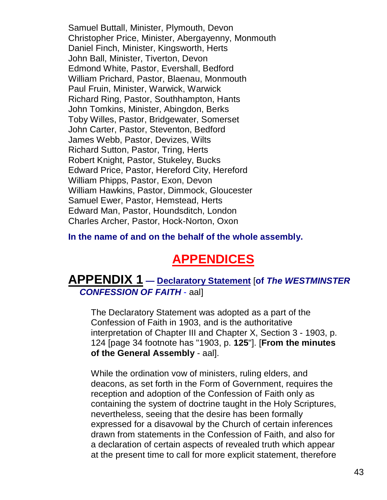Samuel Buttall, Minister, Plymouth, Devon Christopher Price, Minister, Abergayenny, Monmouth Daniel Finch, Minister, Kingsworth, Herts John Ball, Minister, Tiverton, Devon Edmond White, Pastor, Evershall, Bedford William Prichard, Pastor, Blaenau, Monmouth Paul Fruin, Minister, Warwick, Warwick Richard Ring, Pastor, Southhampton, Hants John Tomkins, Minister, Abingdon, Berks Toby Willes, Pastor, Bridgewater, Somerset John Carter, Pastor, Steventon, Bedford James Webb, Pastor, Devizes, Wilts Richard Sutton, Pastor, Tring, Herts Robert Knight, Pastor, Stukeley, Bucks Edward Price, Pastor, Hereford City, Hereford William Phipps, Pastor, Exon, Devon William Hawkins, Pastor, Dimmock, Gloucester Samuel Ewer, Pastor, Hemstead, Herts Edward Man, Pastor, Houndsditch, London Charles Archer, Pastor, Hock-Norton, Oxon

**In the name of and on the behalf of the whole assembly.**

# **APPENDICES**

# **APPENDIX 1 — Declaratory Statement** [**of** *The WESTMINSTER CONFESSION OF FAITH* - aal]

The Declaratory Statement was adopted as a part of the Confession of Faith in 1903, and is the authoritative interpretation of Chapter III and Chapter X, Section 3 - 1903, p. 124 [page 34 footnote has "1903, p. **125**"]. [**From the minutes of the General Assembly** - aal].

While the ordination vow of ministers, ruling elders, and deacons, as set forth in the Form of Government, requires the reception and adoption of the Confession of Faith only as containing the system of doctrine taught in the Holy Scriptures, nevertheless, seeing that the desire has been formally expressed for a disavowal by the Church of certain inferences drawn from statements in the Confession of Faith, and also for a declaration of certain aspects of revealed truth which appear at the present time to call for more explicit statement, therefore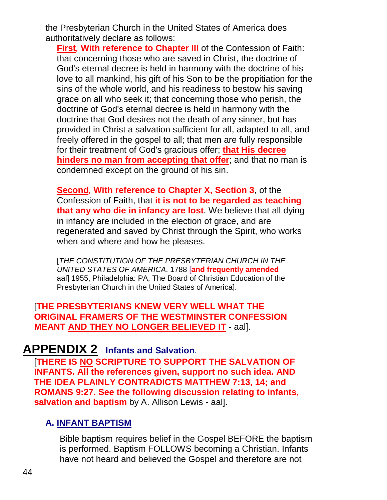the Presbyterian Church in the United States of America does authoritatively declare as follows:

**First***,* **With reference to Chapter III** of the Confession of Faith: that concerning those who are saved in Christ, the doctrine of God's eternal decree is held in harmony with the doctrine of his love to all mankind, his gift of his Son to be the propitiation for the sins of the whole world, and his readiness to bestow his saving grace on all who seek it; that concerning those who perish, the doctrine of God's eternal decree is held in harmony with the doctrine that God desires not the death of any sinner, but has provided in Christ a salvation sufficient for all, adapted to all, and freely offered in the gospel to all; that men are fully responsible for their treatment of God's gracious offer; **that His decree hinders no man from accepting that offer**; and that no man is condemned except on the ground of his sin.

**Second***,* **With reference to Chapter X, Section 3**, of the Confession of Faith, that **it is not to be regarded as teaching that any who die in infancy are lost**. We believe that all dying in infancy are included in the election of grace, and are regenerated and saved by Christ through the Spirit, who works when and where and how he pleases.

[*THE CONSTITUTION OF THE PRESBYTERIAN CHURCH IN THE UNITED STATES OF AMERICA*. 1788 [**and frequently amended** aal] 1955, Philadelphia: PA, The Board of Christian Education of the Presbyterian Church in the United States of America].

[**THE PRESBYTERIANS KNEW VERY WELL WHAT THE ORIGINAL FRAMERS OF THE WESTMINSTER CONFESSION MEANT AND THEY NO LONGER BELIEVED IT** - aal].

# **APPENDIX 2** - **Infants and Salvation**.

[**THERE IS NO SCRIPTURE TO SUPPORT THE SALVATION OF INFANTS. All the references given, support no such idea. AND THE IDEA PLAINLY CONTRADICTS MATTHEW 7:13, 14; and ROMANS 9:27. See the following discussion relating to infants, salvation and baptism** by A. Allison Lewis - aal]**.**

# **A. INFANT BAPTISM**

Bible baptism requires belief in the Gospel BEFORE the baptism is performed. Baptism FOLLOWS becoming a Christian. Infants have not heard and believed the Gospel and therefore are not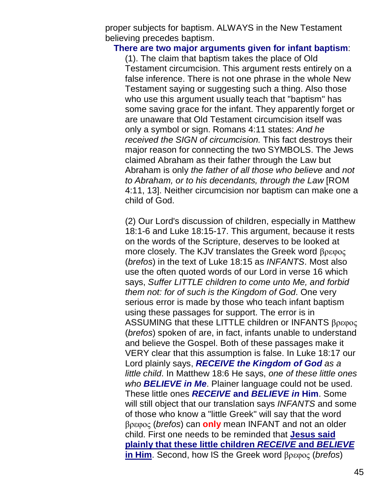proper subjects for baptism. ALWAYS in the New Testament believing precedes baptism.

#### **There are two major arguments given for infant baptism**:

(1). The claim that baptism takes the place of Old Testament circumcision. This argument rests entirely on a false inference. There is not one phrase in the whole New Testament saying or suggesting such a thing. Also those who use this argument usually teach that "baptism" has some saving grace for the infant. They apparently forget or are unaware that Old Testament circumcision itself was only a symbol or sign. Romans 4:11 states: *And he received the SIGN of circumcision.* This fact destroys their major reason for connecting the two SYMBOLS. The Jews claimed Abraham as their father through the Law but Abraham is only *the father of all those who believe* and *not to Abraham, or to his decendants, through the Law* [ROM 4:11, 13]. Neither circumcision nor baptism can make one a child of God.

(2) Our Lord's discussion of children, especially in Matthew 18:1-6 and Luke 18:15-17. This argument, because it rests on the words of the Scripture, deserves to be looked at more closely. The KJV translates the Greek word βρεφος (*brefos*) in the text of Luke 18:15 as *INFANTS*. Most also use the often quoted words of our Lord in verse 16 which says, *Suffer LITTLE children to come unto Me, and forbid them not: for of such is the Kingdom of God*. One very serious error is made by those who teach infant baptism using these passages for support. The error is in ASSUMING that these LITTLE children or INFANTS βρεφος (*brefos*) spoken of are, in fact, infants unable to understand and believe the Gospel. Both of these passages make it VERY clear that this assumption is false. In Luke 18:17 our Lord plainly says, *RECEIVE the Kingdom of God as a little child*. In Matthew 18:6 He says, *one of these little ones who BELIEVE in Me*. Plainer language could not be used. These little ones *RECEIVE* **and** *BELIEVE in* **Him**. Some will still object that our translation says *INFANTS* and some of those who know a "little Greek" will say that the word βρεφος (*brefos*) can **only** mean INFANT and not an older child. First one needs to be reminded that **Jesus said plainly that these little children** *RECEIVE* **and** *BELIEVE* **in Him**. Second, how IS the Greek word βρεφος (*brefos*)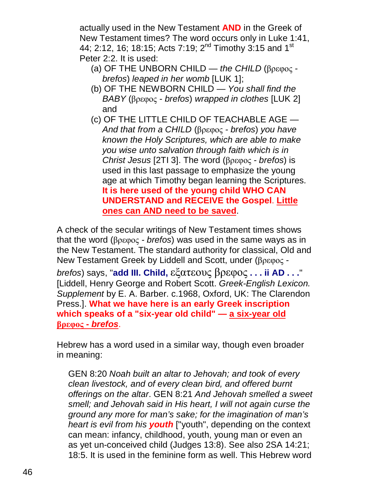actually used in the New Testament **AND** in the Greek of New Testament times? The word occurs only in Luke 1:41, 44; 2:12, 16; 18:15; Acts 7:19;  $2^{nd}$  Timothy 3:15 and 1<sup>st</sup> Peter 2:2. It is used:

- (a) OF THE UNBORN CHILD *the CHILD* (βρεφος  *brefos*) *leaped in her womb* [LUK 1];
- (b) OF THE NEWBORN CHILD *You shall find the BABY* (βρεφος *- brefos*) *wrapped in clothes* [LUK 2] and
- (c) OF THE LITTLE CHILD OF TEACHABLE AGE *And that from a CHILD* (βρεφος *- brefos*) *you have known the Holy Scriptures, which are able to make you wise unto salvation through faith which is in Christ Jesus* [2TI 3]. The word (βρεφος *- brefos*) is used in this last passage to emphasize the young age at which Timothy began learning the Scriptures. **It is here used of the young child WHO CAN UNDERSTAND and RECEIVE the Gospel**. **Little ones can AND need to be saved**.

A check of the secular writings of New Testament times shows that the word (βρεφος *- brefos*) was used in the same ways as in the New Testament. The standard authority for classical, Old and New Testament Greek by Liddell and Scott, under (βρεφος  *brefos*) says, "**add III. Child,** εξατεους βρεφος **. . . ii AD . . .**" [Liddell, Henry George and Robert Scott. *Greek-English Lexicon. Supplement* by E. A. Barber. c.1968, Oxford, UK: The Clarendon Press.]. **What we have here is an early Greek inscription which speaks of a "six-year old child" — a six-year old βρεφος -** *brefos*.

Hebrew has a word used in a similar way, though even broader in meaning:

GEN 8:20 *Noah built an altar to Jehovah; and took of every clean livestock, and of every clean bird, and offered burnt offerings on the altar*. GEN 8:21 *And Jehovah smelled a sweet smell; and Jehovah said in His heart, I will not again curse the ground any more for man's sake; for the imagination of man's heart is evil from his youth* ["youth", depending on the context can mean: infancy, childhood, youth, young man or even an as yet un-conceived child (Judges 13:8). See also 2SA 14:21; 18:5. It is used in the feminine form as well. This Hebrew word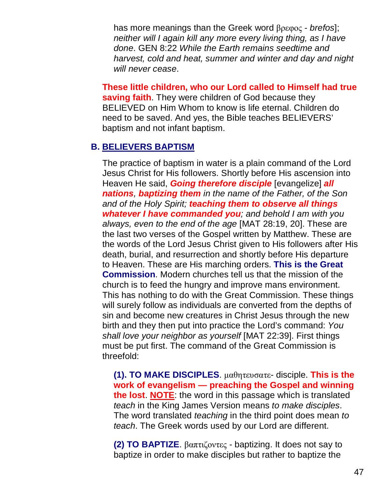has more meanings than the Greek word βρεφος - *brefos*]; *neither will I again kill any more every living thing, as I have done*. GEN 8:22 *While the Earth remains seedtime and harvest, cold and heat, summer and winter and day and night will never cease*.

**These little children, who our Lord called to Himself had true saving faith**. They were children of God because they BELIEVED on Him Whom to know is life eternal. Children do need to be saved. And yes, the Bible teaches BELIEVERS' baptism and not infant baptism.

#### **B. BELIEVERS BAPTISM**

The practice of baptism in water is a plain command of the Lord Jesus Christ for His followers. Shortly before His ascension into Heaven He said, *Going therefore disciple* [evangelize] *all nations, baptizing them in the name of the Father, of the Son and of the Holy Spirit; teaching them to observe all things whatever I have commanded you; and behold I am with you always, even to the end of the age* [MAT 28:19, 20]. These are the last two verses of the Gospel written by Matthew. These are the words of the Lord Jesus Christ given to His followers after His death, burial, and resurrection and shortly before His departure to Heaven. These are His marching orders. **This is the Great Commission**. Modern churches tell us that the mission of the church is to feed the hungry and improve mans environment. This has nothing to do with the Great Commission. These things will surely follow as individuals are converted from the depths of sin and become new creatures in Christ Jesus through the new birth and they then put into practice the Lord's command: *You shall love your neighbor as yourself* [MAT 22:39]. First things must be put first. The command of the Great Commission is threefold:

**(1). TO MAKE DISCIPLES**. μαθητευσατε- disciple. **This is the work of evangelism — preaching the Gospel and winning the lost**. **NOTE**: the word in this passage which is translated *teach* in the King James Version means *to make disciples*. The word translated *teaching* in the third point does mean *to teach*. The Greek words used by our Lord are different.

**(2) TO BAPTIZE**. βαπτιζοντες - baptizing. It does not say to baptize in order to make disciples but rather to baptize the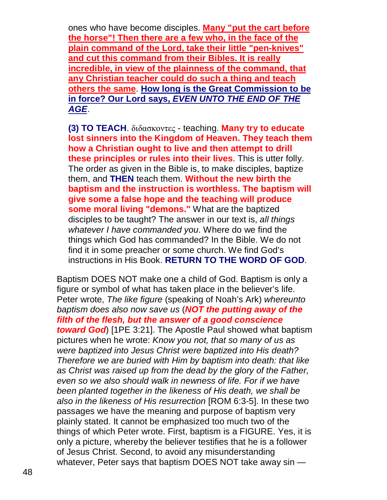ones who have become disciples. **Many "put the cart before the horse"! Then there are a few who, in the face of the plain command of the Lord, take their little "pen-knives" and cut this command from their Bibles. It is really incredible, in view of the plainness of the command, that any Christian teacher could do such a thing and teach others the same**. **How long is the Great Commission to be in force? Our Lord says,** *EVEN UNTO THE END OF THE AGE*.

**(3) TO TEACH**. διδασκοντες - teaching. **Many try to educate lost sinners into the Kingdom of Heaven. They teach them how a Christian ought to live and then attempt to drill these principles or rules into their lives**. This is utter folly. The order as given in the Bible is, to make disciples, baptize them, and **THEN** teach them. **Without the new birth the baptism and the instruction is worthless. The baptism will give some a false hope and the teaching will produce some moral living "demons."** What are the baptized disciples to be taught? The answer in our text is, *all things whatever I have commanded you*. Where do we find the things which God has commanded? In the Bible. We do not find it in some preacher or some church. We find God's instructions in His Book. **RETURN TO THE WORD OF GOD**.

Baptism DOES NOT make one a child of God. Baptism is only a figure or symbol of what has taken place in the believer's life. Peter wrote, *The like figure* (speaking of Noah's Ark) *whereunto baptism does also now save us* (*NOT the putting away of the filth of the flesh, but the answer of a good conscience toward God*) [1PE 3:21]. The Apostle Paul showed what baptism pictures when he wrote: *Know you not, that so many of us as were baptized into Jesus Christ were baptized into His death? Therefore we are buried with Him by baptism into death: that like as Christ was raised up from the dead by the glory of the Father, even so we also should walk in newness of life. For if we have been planted together in the likeness of His death, we shall be also in the likeness of His resurrection* [ROM 6:3-5]. In these two passages we have the meaning and purpose of baptism very plainly stated. It cannot be emphasized too much two of the things of which Peter wrote. First, baptism is a FIGURE. Yes, it is only a picture, whereby the believer testifies that he is a follower of Jesus Christ. Second, to avoid any misunderstanding whatever, Peter says that baptism DOES NOT take away sin —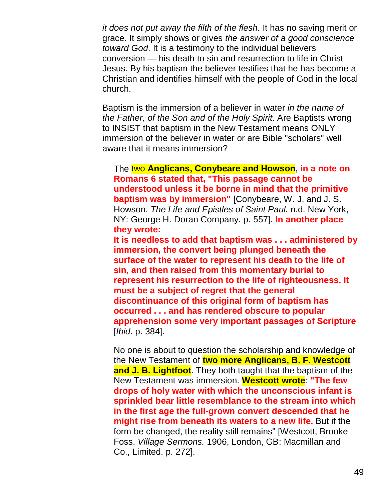*it does not put away the filth of the flesh*. It has no saving merit or grace. It simply shows or gives *the answer of a good conscience toward God*. It is a testimony to the individual believers conversion — his death to sin and resurrection to life in Christ Jesus. By his baptism the believer testifies that he has become a Christian and identifies himself with the people of God in the local church.

Baptism is the immersion of a believer in water *in the name of the Father, of the Son and of the Holy Spirit*. Are Baptists wrong to INSIST that baptism in the New Testament means ONLY immersion of the believer in water or are Bible "scholars" well aware that it means immersion?

The two **Anglicans, Conybeare and Howson**, **in a note on Romans 6 stated that, "This passage cannot be understood unless it be borne in mind that the primitive baptism was by immersion"** [Conybeare, W. J. and J. S. Howson. *The Life and Epistles of Saint Paul.* n.d. New York, NY: George H. Doran Company. p. 557]. **In another place they wrote:**

**It is needless to add that baptism was . . . administered by immersion, the convert being plunged beneath the surface of the water to represent his death to the life of sin, and then raised from this momentary burial to represent his resurrection to the life of righteousness. It must be a subject of regret that the general discontinuance of this original form of baptism has occurred . . . and has rendered obscure to popular apprehension some very important passages of Scripture** [*Ibid*. p. 384].

No one is about to question the scholarship and knowledge of the New Testament of **two more Anglicans, B. F. Westcott and J. B. Lightfoot**. They both taught that the baptism of the New Testament was immersion. **Westcott wrote**: **"The few drops of holy water with which the unconscious infant is sprinkled bear little resemblance to the stream into which in the first age the full-grown convert descended that he might rise from beneath its waters to a new life.** But if the form be changed, the reality still remains" [Westcott, Brooke Foss. *Village Sermons.* 1906, London, GB: Macmillan and Co., Limited. p. 272].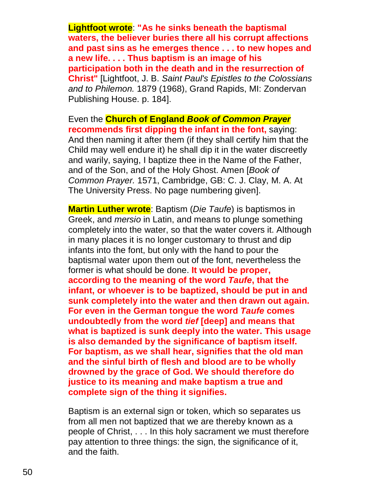**Lightfoot wrote**: **"As he sinks beneath the baptismal waters, the believer buries there all his corrupt affections and past sins as he emerges thence . . . to new hopes and a new life. . . . Thus baptism is an image of his participation both in the death and in the resurrection of Christ"** [Lightfoot, J. B. *Saint Paul's Epistles to the Colossians and to Philemon.* 1879 (1968), Grand Rapids, MI: Zondervan Publishing House. p. 184].

Even the **Church of England** *Book of Common Prayer* **recommends first dipping the infant in the font,** saying: And then naming it after them (if they shall certify him that the Child may well endure it) he shall dip it in the water discreetly and warily, saying, I baptize thee in the Name of the Father, and of the Son, and of the Holy Ghost. Amen [*Book of Common Prayer.* 1571, Cambridge, GB: C. J. Clay, M. A. At The University Press. No page numbering given].

**Martin Luther wrote**: Baptism (*Die Taufe*) is baptismos in Greek, and *mersio* in Latin, and means to plunge something completely into the water, so that the water covers it. Although in many places it is no longer customary to thrust and dip infants into the font, but only with the hand to pour the baptismal water upon them out of the font, nevertheless the former is what should be done. **It would be proper, according to the meaning of the word** *Taufe***, that the infant, or whoever is to be baptized, should be put in and sunk completely into the water and then drawn out again. For even in the German tongue the word** *Taufe* **comes undoubtedly from the word** *tief* **[deep] and means that what is baptized is sunk deeply into the water. This usage is also demanded by the significance of baptism itself. For baptism, as we shall hear, signifies that the old man and the sinful birth of flesh and blood are to be wholly drowned by the grace of God. We should therefore do justice to its meaning and make baptism a true and complete sign of the thing it signifies.**

Baptism is an external sign or token, which so separates us from all men not baptized that we are thereby known as a people of Christ, . . . In this holy sacrament we must therefore pay attention to three things: the sign, the significance of it, and the faith.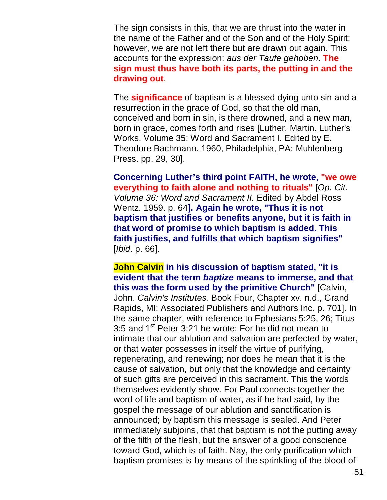The sign consists in this, that we are thrust into the water in the name of the Father and of the Son and of the Holy Spirit; however, we are not left there but are drawn out again. This accounts for the expression: *aus der Taufe gehoben*. **The sign must thus have both its parts, the putting in and the drawing out**.

The **significance** of baptism is a blessed dying unto sin and a resurrection in the grace of God, so that the old man, conceived and born in sin, is there drowned, and a new man, born in grace, comes forth and rises [Luther, Martin. Luther's Works, Volume 35: Word and Sacrament I. Edited by E. Theodore Bachmann. 1960, Philadelphia, PA: Muhlenberg Press. pp. 29, 30].

**Concerning Luther's third point FAITH, he wrote, "we owe everything to faith alone and nothing to rituals"** [*Op. Cit. Volume 36: Word and Sacrament II.* Edited by Abdel Ross Wentz. 1959. p. 64**]. Again he wrote, "Thus it is not baptism that justifies or benefits anyone, but it is faith in that word of promise to which baptism is added. This faith justifies, and fulfills that which baptism signifies"** [*Ibid*. p. 66].

**John Calvin in his discussion of baptism stated, "it is evident that the term** *baptize* **means to immerse, and that this was the form used by the primitive Church"** [Calvin, John. *Calvin's Institutes.* Book Four, Chapter xv. n.d., Grand Rapids, MI: Associated Publishers and Authors Inc. p. 701]. In the same chapter, with reference to Ephesians 5:25, 26; Titus 3:5 and  $1^{st}$  Peter 3:21 he wrote: For he did not mean to intimate that our ablution and salvation are perfected by water, or that water possesses in itself the virtue of purifying, regenerating, and renewing; nor does he mean that it is the cause of salvation, but only that the knowledge and certainty of such gifts are perceived in this sacrament. This the words themselves evidently show. For Paul connects together the word of life and baptism of water, as if he had said, by the gospel the message of our ablution and sanctification is announced; by baptism this message is sealed. And Peter immediately subjoins, that that baptism is not the putting away of the filth of the flesh, but the answer of a good conscience toward God, which is of faith. Nay, the only purification which baptism promises is by means of the sprinkling of the blood of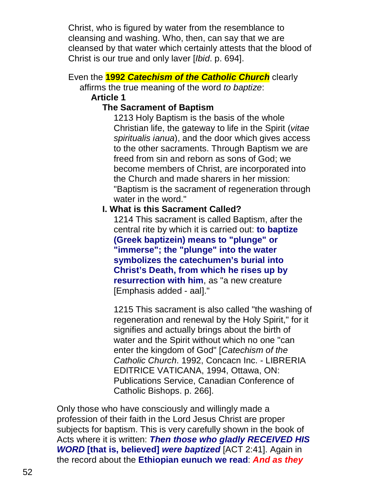Christ, who is figured by water from the resemblance to cleansing and washing. Who, then, can say that we are cleansed by that water which certainly attests that the blood of Christ is our true and only laver [*Ibid*. p. 694].

## Even the **1992** *Catechism of the Catholic Church* clearly

affirms the true meaning of the word *to baptize*:

#### **Article 1**

## **The Sacrament of Baptism**

1213 Holy Baptism is the basis of the whole Christian life, the gateway to life in the Spirit (*vitae spiritualis ianua*), and the door which gives access to the other sacraments. Through Baptism we are freed from sin and reborn as sons of God; we become members of Christ, are incorporated into the Church and made sharers in her mission: "Baptism is the sacrament of regeneration through water in the word."

# **I. What is this Sacrament Called?**

1214 This sacrament is called Baptism, after the central rite by which it is carried out: **to baptize (Greek baptizein) means to "plunge" or "immerse"; the "plunge" into the water symbolizes the catechumen's burial into Christ's Death, from which he rises up by resurrection with him**, as "a new creature [Emphasis added - aal]."

1215 This sacrament is also called "the washing of regeneration and renewal by the Holy Spirit," for it signifies and actually brings about the birth of water and the Spirit without which no one "can enter the kingdom of God" [*Catechism of the Catholic Church*. 1992, Concacn Inc. - LIBRERIA EDITRICE VATICANA, 1994, Ottawa, ON: Publications Service, Canadian Conference of Catholic Bishops. p. 266].

Only those who have consciously and willingly made a profession of their faith in the Lord Jesus Christ are proper subjects for baptism. This is very carefully shown in the book of Acts where it is written: *Then those who gladly RECEIVED HIS WORD* **[that is, believed]** *were baptized* [ACT 2:41]. Again in the record about the **Ethiopian eunuch we read**: *And as they*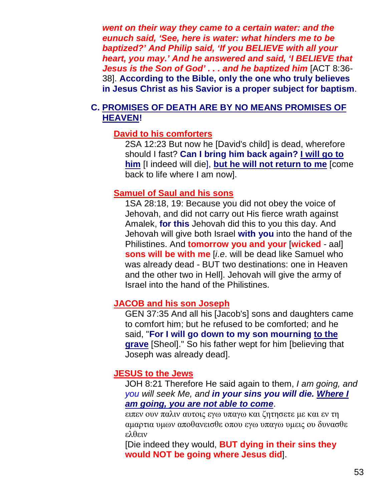*went on their way they came to a certain water: and the eunuch said, 'See, here is water: what hinders me to be baptized?' And Philip said, 'If you BELIEVE with all your heart, you may.' And he answered and said, 'I BELIEVE that Jesus is the Son of God' . . . and he baptized him* [ACT 8:36- 38]. **According to the Bible, only the one who truly believes in Jesus Christ as his Savior is a proper subject for baptism**.

#### **C. PROMISES OF DEATH ARE BY NO MEANS PROMISES OF HEAVEN!**

#### **David to his comforters**

2SA 12:23 But now he [David's child] is dead, wherefore should I fast? **Can I bring him back again? I will go to him** [I indeed will die], **but he will not return to me** [come back to life where I am now].

#### **Samuel of Saul and his sons**

1SA 28:18, 19: Because you did not obey the voice of Jehovah, and did not carry out His fierce wrath against Amalek, **for this** Jehovah did this to you this day. And Jehovah will give both Israel **with you** into the hand of the Philistines. And **tomorrow you and your** [**wicked** - aal] **sons will be with me** [*i*.*e*. will be dead like Samuel who was already dead - BUT two destinations: one in Heaven and the other two in Hell]. Jehovah will give the army of Israel into the hand of the Philistines.

#### **JACOB and his son Joseph**

GEN 37:35 And all his [Jacob's] sons and daughters came to comfort him; but he refused to be comforted; and he said, "**For I will go down to my son mourning to the grave** [Sheol]." So his father wept for him [believing that Joseph was already dead].

#### **JESUS to the Jews**

JOH 8:21 Therefore He said again to them, *I am going, and you will seek Me, and in your sins you will die. Where I am going, you are not able to come*.

ειπεν ουν παλιν αυτοις εγω υπαγω και ζητησετε με και εν τη αμαρτια υμων αποθανεισθε οπου εγω υπαγω υμεις ου δυνασθε ελθειν

[Die indeed they would, **BUT dying in their sins they would NOT be going where Jesus did**].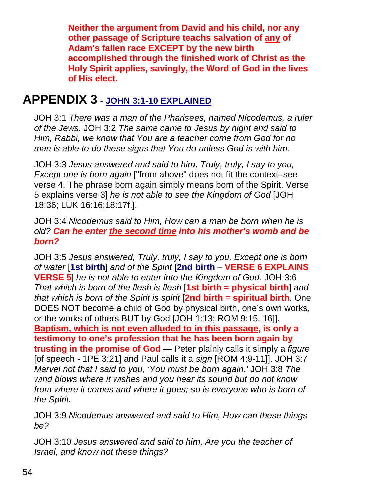**Neither the argument from David and his child, nor any other passage of Scripture teachs salvation of any of Adam's fallen race EXCEPT by the new birth accomplished through the finished work of Christ as the Holy Spirit applies, savingly, the Word of God in the lives of His elect.**

# **APPENDIX 3** - **JOHN 3:1-10 EXPLAINED**

JOH 3:1 *There was a man of the Pharisees, named Nicodemus, a ruler of the Jews.* JOH 3:2 *The same came to Jesus by night and said to Him, Rabbi, we know that You are a teacher come from God for no man is able to do these signs that You do unless God is with him.*

JOH 3:3 *Jesus answered and said to him, Truly, truly, I say to you, Except one is born again* ["from above" does not fit the context–see verse 4. The phrase born again simply means born of the Spirit. Verse 5 explains verse 3] *he is not able to see the Kingdom of God* [JOH 18:36; LUK 16:16;18:17f.].

JOH 3:4 *Nicodemus said to Him, How can a man be born when he is old? Can he enter the second time into his mother's womb and be born?*

JOH 3:5 *Jesus answered, Truly, truly, I say to you, Except one is born of water* [**1st birth**] *and of the Spirit* [**2nd birth** – **VERSE 6 EXPLAINS VERSE 5**] *he is not able to enter into the Kingdom of God.* JOH 3:6 *That which is born of the flesh is flesh* [**1st birth** = **physical birth**] a*nd that which is born of the Spirit is spirit* [**2nd birth** = **spiritual birth**. One DOES NOT become a child of God by physical birth, one's own works, or the works of others BUT by God [JOH 1:13; ROM 9:15, 16]]. **Baptism, which is not even alluded to in this passage, is only a testimony to one's profession that he has been born again by trusting in the promise of God** — Peter plainly calls it simply a *figure* [of speech - 1PE 3:21] and Paul calls it a *sign* [ROM 4:9-11]]. JOH 3:7 *Marvel not that I said to you, 'You must be born again.'* JOH 3:8 *The wind blows where it wishes and you hear its sound but do not know from where it comes and where it goes; so is everyone who is born of the Spirit.*

JOH 3:9 *Nicodemus answered and said to Him, How can these things be?*

JOH 3:10 *Jesus answered and said to him, Are you the teacher of Israel, and know not these things?*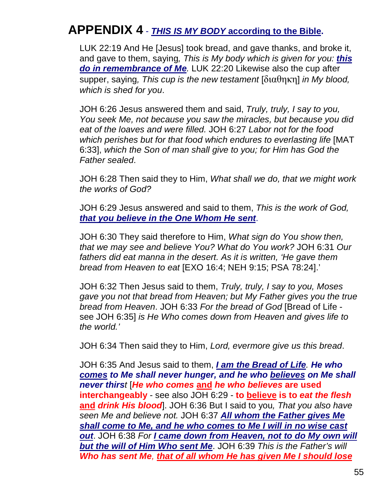# **APPENDIX 4** - *THIS IS MY BODY* **according to the Bible.**

LUK 22:19 And He [Jesus] took bread, and gave thanks, and broke it, and gave to them, saying*, This is My body which is given for you: this do in remembrance of Me.* LUK 22:20 Likewise also the cup after supper, saying*, This cup is the new testament* [διαθηκη] *in My blood, which is shed for you*.

JOH 6:26 Jesus answered them and said, *Truly, truly, I say to you, You seek Me, not because you saw the miracles, but because you did eat of the loaves and were filled.* JOH 6:27 *Labor not for the food which perishes but for that food which endures to everlasting life* [MAT 6:33], *which the Son of man shall give to you; for Him has God the Father sealed*.

JOH 6:28 Then said they to Him, *What shall we do, that we might work the works of God?*

JOH 6:29 Jesus answered and said to them, *This is the work of God, that you believe in the One Whom He sent*.

JOH 6:30 They said therefore to Him, *What sign do You show then, that we may see and believe You? What do You work?* JOH 6:31 *Our fathers did eat manna in the desert. As it is written, 'He gave them bread from Heaven to eat* [EXO 16:4; NEH 9:15; PSA 78:24].'

JOH 6:32 Then Jesus said to them, *Truly, truly, I say to you, Moses gave you not that bread from Heaven; but My Father gives you the true bread from Heaven*. JOH 6:33 *For the bread of God* [Bread of Life see JOH 6:35] *is He Who comes down from Heaven and gives life to the world.'*

JOH 6:34 Then said they to Him, *Lord, evermore give us this bread*.

JOH 6:35 And Jesus said to them, *I am the Bread of Life. He who comes to Me shall never hunger, and he who believes on Me shall never thirst* [*He who comes* **and** *he who believes* **are used interchangeably** - see also JOH 6:29 - **to believe is to** *eat the flesh* **and** *drink His blood*]. JOH 6:36 But I said to you*, That you also have seen Me and believe not.* JOH 6:37 *All whom the Father gives Me shall come to Me, and he who comes to Me I will in no wise cast out*. JOH 6:38 *For I came down from Heaven, not to do My own will but the will of Him Who sent Me*. JOH 6:39 *This is the Father's will Who has sent Me, that of all whom He has given Me I should lose*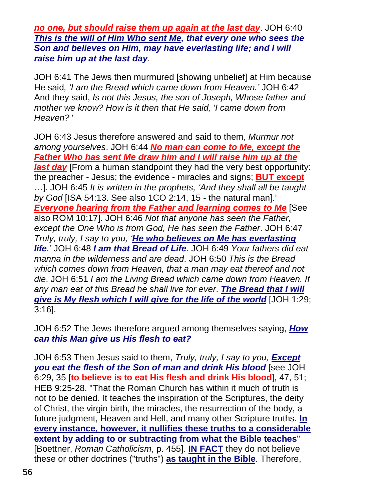*no one, but should raise them up again at the last day*. JOH 6:40 *This is the will of Him Who sent Me, that every one who sees the Son and believes on Him, may have everlasting life; and I will raise him up at the last day*.

JOH 6:41 The Jews then murmured [showing unbelief] at Him because He said*, 'I am the Bread which came down from Heaven.'* JOH 6:42 And they said, *Is not this Jesus, the son of Joseph, Whose father and mother we know? How is it then that He said, 'I came down from Heaven?* '

JOH 6:43 Jesus therefore answered and said to them, *Murmur not among yourselves*. JOH 6:44 *No man can come to Me, except the Father Who has sent Me draw him and I will raise him up at the last day* [From a human standpoint they had the very best opportunity: the preacher - Jesus; the evidence - miracles and signs; **BUT except** …]. JOH 6:45 *It is written in the prophets, 'And they shall all be taught by God* [ISA 54:13. See also 1CO 2:14, 15 - the natural man].' *Everyone hearing from the Father and learning comes to Me* [See also ROM 10:17]. JOH 6:46 *Not that anyone has seen the Father, except the One Who is from God, He has seen the Father*. JOH 6:47 *Truly, truly, I say to you, 'He who believes on Me has everlasting life.'* JOH 6:48 *I am that Bread of Life*. JOH 6:49 *Your fathers did eat manna in the wilderness and are dead*. JOH 6:50 *This is the Bread which comes down from Heaven, that a man may eat thereof and not die*. JOH 6:51 *I am the Living Bread which came down from Heaven. If any man eat of this Bread he shall live for ever*. *The Bread that I will give is My flesh which I will give for the life of the world* [JOH 1:29; 3:16].

JOH 6:52 The Jews therefore argued among themselves saying, *How can this Man give us His flesh to eat?*

JOH 6:53 Then Jesus said to them, *Truly, truly, I say to you, Except you eat the flesh of the Son of man and drink His blood* [see JOH 6:29, 35 [**to believe is to eat His flesh and drink His blood**], 47, 51; HEB 9:25-28. "That the Roman Church has within it much of truth is not to be denied. It teaches the inspiration of the Scriptures, the deity of Christ, the virgin birth, the miracles, the resurrection of the body, a future judgment, Heaven and Hell, and many other Scripture truths. **In every instance, however, it nullifies these truths to a considerable extent by adding to or subtracting from what the Bible teaches**" [Boettner, *Roman Catholicism*, p. 455]. **IN FACT** they do not believe these or other doctrines ("truths") **as taught in the Bible**. Therefore,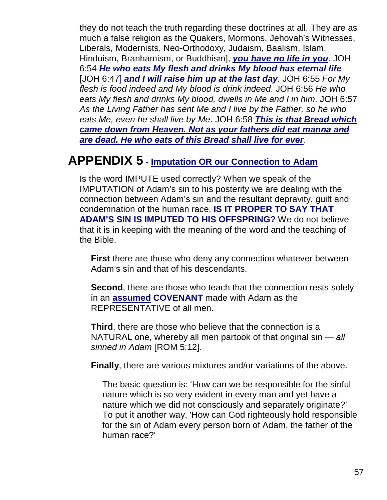they do not teach the truth regarding these doctrines at all. They are as much a false religion as the Quakers, Mormons, Jehovah's Witnesses, Liberals, Modernists, Neo-Orthodoxy, Judaism, Baalism, Islam, Hinduism, Branhamism, or Buddhism], *you have no life in you*. JOH 6:54 *He who eats My flesh and drinks My blood has eternal life* [JOH 6:47] *and I will raise him up at the last day*. JOH 6:55 *For My flesh is food indeed and My blood is drink indeed*. JOH 6:56 *He who eats My flesh and drinks My blood, dwells in Me and I in him*. JOH 6:57 *As the Living Father has sent Me and I live by the Father, so he who eats Me, even he shall live by Me*. JOH 6:58 *This is that Bread which came down from Heaven. Not as your fathers did eat manna and are dead. He who eats of this Bread shall live for ever*.

# **APPENDIX 5** - **Imputation OR our Connection to Adam**

Is the word IMPUTE used correctly? When we speak of the IMPUTATION of Adam's sin to his posterity we are dealing with the connection between Adam's sin and the resultant depravity, guilt and condemnation of the human race. **IS IT PROPER TO SAY THAT ADAM'S SIN IS IMPUTED TO HIS OFFSPRING?** We do not believe that it is in keeping with the meaning of the word and the teaching of the Bible.

**First** there are those who deny any connection whatever between Adam's sin and that of his descendants.

**Second**, there are those who teach that the connection rests solely in an **assumed COVENANT** made with Adam as the REPRESENTATIVE of all men.

**Third**, there are those who believe that the connection is a NATURAL one, whereby all men partook of that original sin — *all sinned in Adam* [ROM 5:12].

**Finally**, there are various mixtures and/or variations of the above.

The basic question is: 'How can we be responsible for the sinful nature which is so very evident in every man and yet have a nature which we did not consciously and separately originate?' To put it another way, 'How can God righteously hold responsible for the sin of Adam every person born of Adam, the father of the human race?'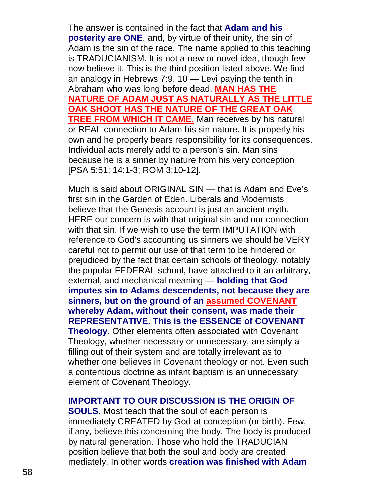The answer is contained in the fact that **Adam and his posterity are ONE**, and, by virtue of their unity, the sin of Adam is the sin of the race. The name applied to this teaching is TRADUCIANISM. It is not a new or novel idea, though few now believe it. This is the third position listed above. We find an analogy in Hebrews 7:9, 10 — Levi paying the tenth in Abraham who was long before dead. **MAN HAS THE NATURE OF ADAM JUST AS NATURALLY AS THE LITTLE OAK SHOOT HAS THE NATURE OF THE GREAT OAK TREE FROM WHICH IT CAME.** Man receives by his natural or REAL connection to Adam his sin nature. It is properly his own and he properly bears responsibility for its consequences. Individual acts merely add to a person's sin. Man sins because he is a sinner by nature from his very conception [PSA 5:51; 14:1-3; ROM 3:10-12].

Much is said about ORIGINAL SIN — that is Adam and Eve's first sin in the Garden of Eden. Liberals and Modernists believe that the Genesis account is just an ancient myth. HERE our concern is with that original sin and our connection with that sin. If we wish to use the term IMPUTATION with reference to God's accounting us sinners we should be VERY careful not to permit our use of that term to be hindered or prejudiced by the fact that certain schools of theology, notably the popular FEDERAL school, have attached to it an arbitrary, external, and mechanical meaning — **holding that God imputes sin to Adams descendents, not because they are sinners, but on the ground of an assumed COVENANT whereby Adam, without their consent, was made their REPRESENTATIVE. This is the ESSENCE of COVENANT Theology**. Other elements often associated with Covenant Theology, whether necessary or unnecessary, are simply a filling out of their system and are totally irrelevant as to whether one believes in Covenant theology or not. Even such a contentious doctrine as infant baptism is an unnecessary element of Covenant Theology.

#### **IMPORTANT TO OUR DISCUSSION IS THE ORIGIN OF**

**SOULS**. Most teach that the soul of each person is immediately CREATED by God at conception (or birth). Few, if any, believe this concerning the body. The body is produced by natural generation. Those who hold the TRADUCIAN position believe that both the soul and body are created mediately. In other words **creation was finished with Adam**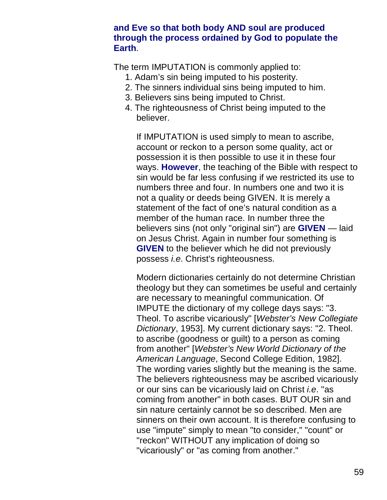#### **and Eve so that both body AND soul are produced through the process ordained by God to populate the Earth**.

The term IMPUTATION is commonly applied to:

- 1. Adam's sin being imputed to his posterity.
- 2. The sinners individual sins being imputed to him.
- 3. Believers sins being imputed to Christ.
- 4. The righteousness of Christ being imputed to the believer.

If IMPUTATION is used simply to mean to ascribe, account or reckon to a person some quality, act or possession it is then possible to use it in these four ways. **However**, the teaching of the Bible with respect to sin would be far less confusing if we restricted its use to numbers three and four. In numbers one and two it is not a quality or deeds being GIVEN. It is merely a statement of the fact of one's natural condition as a member of the human race. In number three the believers sins (not only "original sin") are **GIVEN** — laid on Jesus Christ. Again in number four something is **GIVEN** to the believer which he did not previously possess *i.e*. Christ's righteousness.

Modern dictionaries certainly do not determine Christian theology but they can sometimes be useful and certainly are necessary to meaningful communication. Of IMPUTE the dictionary of my college days says: "3. Theol. To ascribe vicariously" [*Webster's New Collegiate Dictionary*, 1953]. My current dictionary says: "2. Theol. to ascribe (goodness or guilt) to a person as coming from another" [*Webster's New World Dictionary of the American Language*, Second College Edition, 1982]. The wording varies slightly but the meaning is the same. The believers righteousness may be ascribed vicariously or our sins can be vicariously laid on Christ *i.e*. "as coming from another" in both cases. BUT OUR sin and sin nature certainly cannot be so described. Men are sinners on their own account. It is therefore confusing to use "impute" simply to mean "to consider," "count" or "reckon" WITHOUT any implication of doing so "vicariously" or "as coming from another."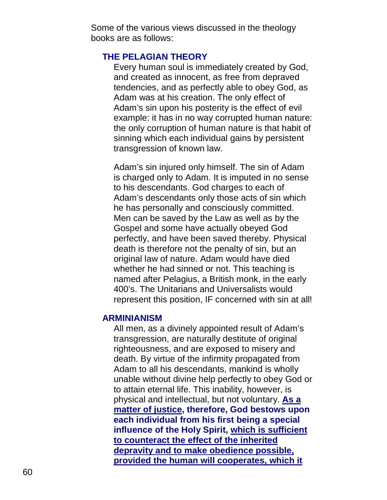Some of the various views discussed in the theology books are as follows:

#### **THE PELAGIAN THEORY**

Every human soul is immediately created by God, and created as innocent, as free from depraved tendencies, and as perfectly able to obey God, as Adam was at his creation. The only effect of Adam's sin upon his posterity is the effect of evil example: it has in no way corrupted human nature: the only corruption of human nature is that habit of sinning which each individual gains by persistent transgression of known law.

Adam's sin injured only himself. The sin of Adam is charged only to Adam. It is imputed in no sense to his descendants. God charges to each of Adam's descendants only those acts of sin which he has personally and consciously committed. Men can be saved by the Law as well as by the Gospel and some have actually obeyed God perfectly, and have been saved thereby. Physical death is therefore not the penalty of sin, but an original law of nature. Adam would have died whether he had sinned or not. This teaching is named after Pelagius, a British monk, in the early 400's. The Unitarians and Universalists would represent this position, IF concerned with sin at all!

#### **ARMINIANISM**

All men, as a divinely appointed result of Adam's transgression, are naturally destitute of original righteousness, and are exposed to misery and death. By virtue of the infirmity propagated from Adam to all his descendants, mankind is wholly unable without divine help perfectly to obey God or to attain eternal life. This inability, however, is physical and intellectual, but not voluntary. **As a matter of justice, therefore, God bestows upon each individual from his first being a special influence of the Holy Spirit, which is sufficient to counteract the effect of the inherited depravity and to make obedience possible, provided the human will cooperates, which it**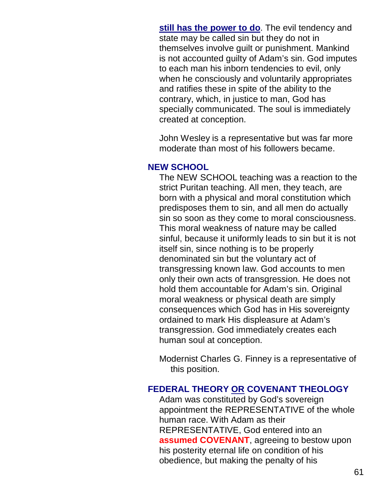**still has the power to do**. The evil tendency and state may be called sin but they do not in themselves involve guilt or punishment. Mankind is not accounted guilty of Adam's sin. God imputes to each man his inborn tendencies to evil, only when he consciously and voluntarily appropriates and ratifies these in spite of the ability to the contrary, which, in justice to man, God has specially communicated. The soul is immediately created at conception.

John Wesley is a representative but was far more moderate than most of his followers became.

#### **NEW SCHOOL**

The NEW SCHOOL teaching was a reaction to the strict Puritan teaching. All men, they teach, are born with a physical and moral constitution which predisposes them to sin, and all men do actually sin so soon as they come to moral consciousness. This moral weakness of nature may be called sinful, because it uniformly leads to sin but it is not itself sin, since nothing is to be properly denominated sin but the voluntary act of transgressing known law. God accounts to men only their own acts of transgression. He does not hold them accountable for Adam's sin. Original moral weakness or physical death are simply consequences which God has in His sovereignty ordained to mark His displeasure at Adam's transgression. God immediately creates each human soul at conception.

Modernist Charles G. Finney is a representative of this position.

#### **FEDERAL THEORY OR COVENANT THEOLOGY**

Adam was constituted by God's sovereign appointment the REPRESENTATIVE of the whole human race. With Adam as their REPRESENTATIVE, God entered into an **assumed COVENANT**, agreeing to bestow upon his posterity eternal life on condition of his obedience, but making the penalty of his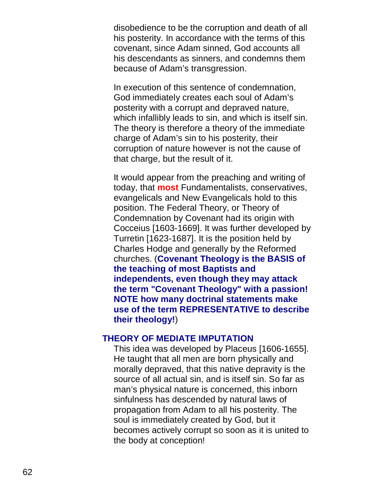disobedience to be the corruption and death of all his posterity. In accordance with the terms of this covenant, since Adam sinned, God accounts all his descendants as sinners, and condemns them because of Adam's transgression.

In execution of this sentence of condemnation, God immediately creates each soul of Adam's posterity with a corrupt and depraved nature, which infallibly leads to sin, and which is itself sin. The theory is therefore a theory of the immediate charge of Adam's sin to his posterity, their corruption of nature however is not the cause of that charge, but the result of it.

It would appear from the preaching and writing of today, that **most** Fundamentalists, conservatives, evangelicals and New Evangelicals hold to this position. The Federal Theory, or Theory of Condemnation by Covenant had its origin with Cocceius [1603-1669]. It was further developed by Turretin [1623-1687]. It is the position held by Charles Hodge and generally by the Reformed churches. (**Covenant Theology is the BASIS of the teaching of most Baptists and independents, even though they may attack the term "Covenant Theology" with a passion! NOTE how many doctrinal statements make use of the term REPRESENTATIVE to describe their theology!**)

#### **THEORY OF MEDIATE IMPUTATION**

This idea was developed by Placeus [1606-1655]. He taught that all men are born physically and morally depraved, that this native depravity is the source of all actual sin, and is itself sin. So far as man's physical nature is concerned, this inborn sinfulness has descended by natural laws of propagation from Adam to all his posterity. The soul is immediately created by God, but it becomes actively corrupt so soon as it is united to the body at conception!